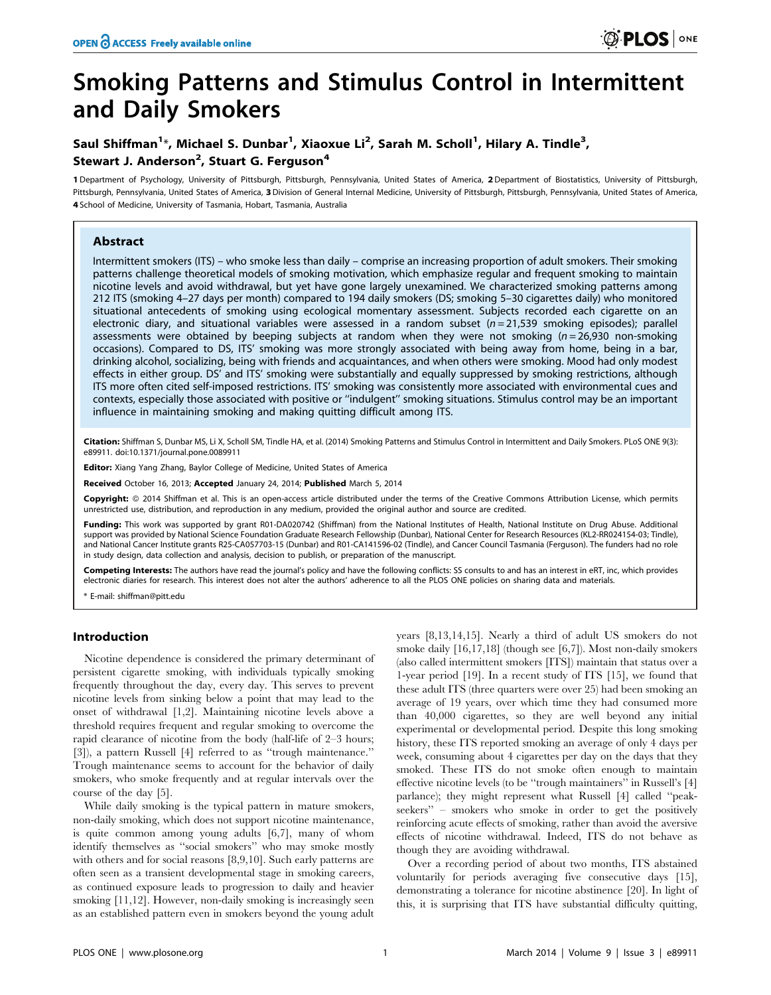# Smoking Patterns and Stimulus Control in Intermittent and Daily Smokers

## Saul Shiffman<sup>1</sup>\*, Michael S. Dunbar<sup>1</sup>, Xiaoxue Li<sup>2</sup>, Sarah M. Scholl<sup>1</sup>, Hilary A. Tindle<sup>3</sup>, Stewart J. Anderson<sup>2</sup>, Stuart G. Ferguson<sup>4</sup>

1 Department of Psychology, University of Pittsburgh, Pittsburgh, Pennsylvania, United States of America, 2 Department of Biostatistics, University of Pittsburgh, Pittsburgh, Pennsylvania, United States of America, 3 Division of General Internal Medicine, University of Pittsburgh, Pittsburgh, Pennsylvania, United States of America, 4 School of Medicine, University of Tasmania, Hobart, Tasmania, Australia

## Abstract

Intermittent smokers (ITS) – who smoke less than daily – comprise an increasing proportion of adult smokers. Their smoking patterns challenge theoretical models of smoking motivation, which emphasize regular and frequent smoking to maintain nicotine levels and avoid withdrawal, but yet have gone largely unexamined. We characterized smoking patterns among 212 ITS (smoking 4–27 days per month) compared to 194 daily smokers (DS; smoking 5–30 cigarettes daily) who monitored situational antecedents of smoking using ecological momentary assessment. Subjects recorded each cigarette on an electronic diary, and situational variables were assessed in a random subset  $(n=21,539)$  smoking episodes); parallel assessments were obtained by beeping subjects at random when they were not smoking  $(n = 26,930)$  non-smoking occasions). Compared to DS, ITS' smoking was more strongly associated with being away from home, being in a bar, drinking alcohol, socializing, being with friends and acquaintances, and when others were smoking. Mood had only modest effects in either group. DS' and ITS' smoking were substantially and equally suppressed by smoking restrictions, although ITS more often cited self-imposed restrictions. ITS' smoking was consistently more associated with environmental cues and contexts, especially those associated with positive or ''indulgent'' smoking situations. Stimulus control may be an important influence in maintaining smoking and making quitting difficult among ITS.

Citation: Shiffman S, Dunbar MS, Li X, Scholl SM, Tindle HA, et al. (2014) Smoking Patterns and Stimulus Control in Intermittent and Daily Smokers. PLoS ONE 9(3): e89911. doi:10.1371/journal.pone.0089911

Editor: Xiang Yang Zhang, Baylor College of Medicine, United States of America

Received October 16, 2013; Accepted January 24, 2014; Published March 5, 2014

**Copyright:** © 2014 Shiffman et al. This is an open-access article distributed under the terms of the [Creative Commons Attribution License,](http://creativecommons.org/licenses/by/4.0/) which permits unrestricted use, distribution, and reproduction in any medium, provided the original author and source are credited.

Funding: This work was supported by grant R01-DA020742 (Shiffman) from the National Institutes of Health, National Institute on Drug Abuse. Additional support was provided by National Science Foundation Graduate Research Fellowship (Dunbar), National Center for Research Resources (KL2-RR024154-03; Tindle), and National Cancer Institute grants R25-CA057703-15 (Dunbar) and R01-CA141596-02 (Tindle), and Cancer Council Tasmania (Ferguson). The funders had no role in study design, data collection and analysis, decision to publish, or preparation of the manuscript.

Competing Interests: The authors have read the journal's policy and have the following conflicts: SS consults to and has an interest in eRT, inc, which provides electronic diaries for research. This interest does not alter the authors' adherence to all the PLOS ONE policies on sharing data and materials.

E-mail: shiffman@pitt.edu

## Introduction

Nicotine dependence is considered the primary determinant of persistent cigarette smoking, with individuals typically smoking frequently throughout the day, every day. This serves to prevent nicotine levels from sinking below a point that may lead to the onset of withdrawal [1,2]. Maintaining nicotine levels above a threshold requires frequent and regular smoking to overcome the rapid clearance of nicotine from the body (half-life of 2–3 hours; [3]), a pattern Russell [4] referred to as ''trough maintenance.'' Trough maintenance seems to account for the behavior of daily smokers, who smoke frequently and at regular intervals over the course of the day [5].

While daily smoking is the typical pattern in mature smokers, non-daily smoking, which does not support nicotine maintenance, is quite common among young adults [6,7], many of whom identify themselves as ''social smokers'' who may smoke mostly with others and for social reasons [8,9,10]. Such early patterns are often seen as a transient developmental stage in smoking careers, as continued exposure leads to progression to daily and heavier smoking [11,12]. However, non-daily smoking is increasingly seen as an established pattern even in smokers beyond the young adult years [8,13,14,15]. Nearly a third of adult US smokers do not smoke daily [16,17,18] (though see [6,7]). Most non-daily smokers (also called intermittent smokers [ITS]) maintain that status over a 1-year period [19]. In a recent study of ITS [15], we found that these adult ITS (three quarters were over 25) had been smoking an average of 19 years, over which time they had consumed more than 40,000 cigarettes, so they are well beyond any initial experimental or developmental period. Despite this long smoking history, these ITS reported smoking an average of only 4 days per week, consuming about 4 cigarettes per day on the days that they smoked. These ITS do not smoke often enough to maintain effective nicotine levels (to be ''trough maintainers'' in Russell's [4] parlance); they might represent what Russell [4] called ''peakseekers'' – smokers who smoke in order to get the positively reinforcing acute effects of smoking, rather than avoid the aversive effects of nicotine withdrawal. Indeed, ITS do not behave as though they are avoiding withdrawal.

Over a recording period of about two months, ITS abstained voluntarily for periods averaging five consecutive days [15], demonstrating a tolerance for nicotine abstinence [20]. In light of this, it is surprising that ITS have substantial difficulty quitting,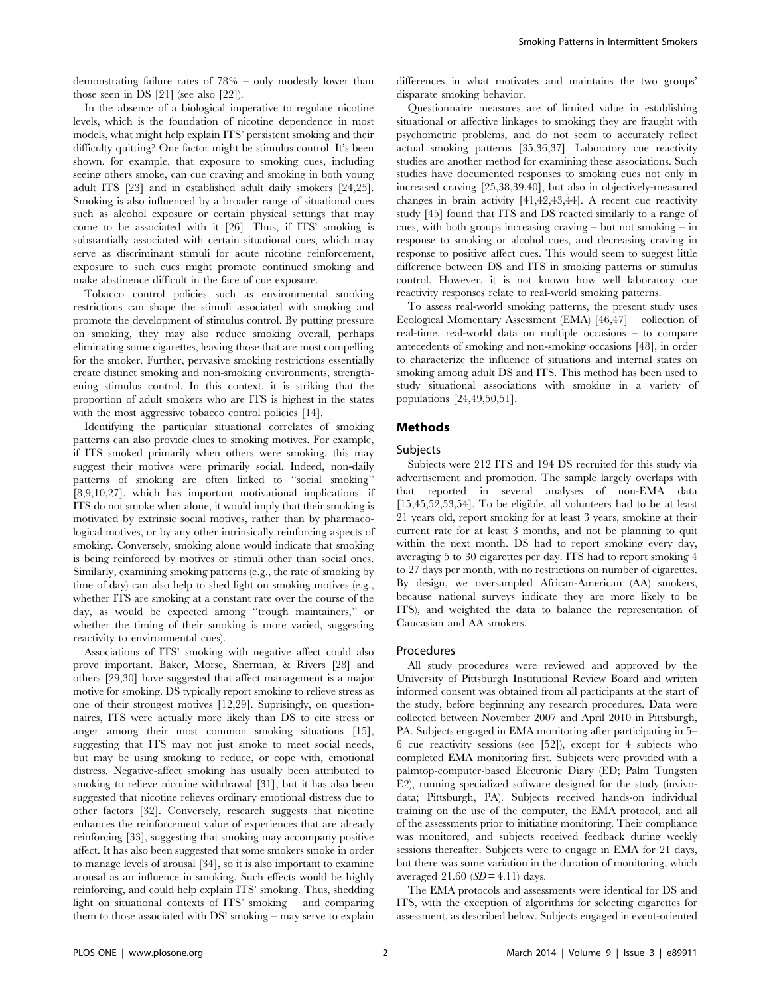demonstrating failure rates of 78% – only modestly lower than those seen in DS [21] (see also [22]).

In the absence of a biological imperative to regulate nicotine levels, which is the foundation of nicotine dependence in most models, what might help explain ITS' persistent smoking and their difficulty quitting? One factor might be stimulus control. It's been shown, for example, that exposure to smoking cues, including seeing others smoke, can cue craving and smoking in both young adult ITS [23] and in established adult daily smokers [24,25]. Smoking is also influenced by a broader range of situational cues such as alcohol exposure or certain physical settings that may come to be associated with it [26]. Thus, if ITS' smoking is substantially associated with certain situational cues, which may serve as discriminant stimuli for acute nicotine reinforcement, exposure to such cues might promote continued smoking and make abstinence difficult in the face of cue exposure.

Tobacco control policies such as environmental smoking restrictions can shape the stimuli associated with smoking and promote the development of stimulus control. By putting pressure on smoking, they may also reduce smoking overall, perhaps eliminating some cigarettes, leaving those that are most compelling for the smoker. Further, pervasive smoking restrictions essentially create distinct smoking and non-smoking environments, strengthening stimulus control. In this context, it is striking that the proportion of adult smokers who are ITS is highest in the states with the most aggressive tobacco control policies [14].

Identifying the particular situational correlates of smoking patterns can also provide clues to smoking motives. For example, if ITS smoked primarily when others were smoking, this may suggest their motives were primarily social. Indeed, non-daily patterns of smoking are often linked to ''social smoking'' [8,9,10,27], which has important motivational implications: if ITS do not smoke when alone, it would imply that their smoking is motivated by extrinsic social motives, rather than by pharmacological motives, or by any other intrinsically reinforcing aspects of smoking. Conversely, smoking alone would indicate that smoking is being reinforced by motives or stimuli other than social ones. Similarly, examining smoking patterns (e.g., the rate of smoking by time of day) can also help to shed light on smoking motives (e.g., whether ITS are smoking at a constant rate over the course of the day, as would be expected among ''trough maintainers,'' or whether the timing of their smoking is more varied, suggesting reactivity to environmental cues).

Associations of ITS' smoking with negative affect could also prove important. Baker, Morse, Sherman, & Rivers [28] and others [29,30] have suggested that affect management is a major motive for smoking. DS typically report smoking to relieve stress as one of their strongest motives [12,29]. Suprisingly, on questionnaires, ITS were actually more likely than DS to cite stress or anger among their most common smoking situations [15], suggesting that ITS may not just smoke to meet social needs, but may be using smoking to reduce, or cope with, emotional distress. Negative-affect smoking has usually been attributed to smoking to relieve nicotine withdrawal [31], but it has also been suggested that nicotine relieves ordinary emotional distress due to other factors [32]. Conversely, research suggests that nicotine enhances the reinforcement value of experiences that are already reinforcing [33], suggesting that smoking may accompany positive affect. It has also been suggested that some smokers smoke in order to manage levels of arousal [34], so it is also important to examine arousal as an influence in smoking. Such effects would be highly reinforcing, and could help explain ITS' smoking. Thus, shedding light on situational contexts of ITS' smoking – and comparing them to those associated with DS' smoking – may serve to explain differences in what motivates and maintains the two groups' disparate smoking behavior.

Questionnaire measures are of limited value in establishing situational or affective linkages to smoking; they are fraught with psychometric problems, and do not seem to accurately reflect actual smoking patterns [35,36,37]. Laboratory cue reactivity studies are another method for examining these associations. Such studies have documented responses to smoking cues not only in increased craving [25,38,39,40], but also in objectively-measured changes in brain activity [41,42,43,44]. A recent cue reactivity study [45] found that ITS and DS reacted similarly to a range of cues, with both groups increasing craving – but not smoking – in response to smoking or alcohol cues, and decreasing craving in response to positive affect cues. This would seem to suggest little difference between DS and ITS in smoking patterns or stimulus control. However, it is not known how well laboratory cue reactivity responses relate to real-world smoking patterns.

To assess real-world smoking patterns, the present study uses Ecological Momentary Assessment (EMA) [46,47] – collection of real-time, real-world data on multiple occasions – to compare antecedents of smoking and non-smoking occasions [48], in order to characterize the influence of situations and internal states on smoking among adult DS and ITS. This method has been used to study situational associations with smoking in a variety of populations [24,49,50,51].

## Methods

#### Subjects

Subjects were 212 ITS and 194 DS recruited for this study via advertisement and promotion. The sample largely overlaps with that reported in several analyses of non-EMA data [15,45,52,53,54]. To be eligible, all volunteers had to be at least 21 years old, report smoking for at least 3 years, smoking at their current rate for at least 3 months, and not be planning to quit within the next month. DS had to report smoking every day, averaging 5 to 30 cigarettes per day. ITS had to report smoking 4 to 27 days per month, with no restrictions on number of cigarettes. By design, we oversampled African-American (AA) smokers, because national surveys indicate they are more likely to be ITS), and weighted the data to balance the representation of Caucasian and AA smokers.

## Procedures

All study procedures were reviewed and approved by the University of Pittsburgh Institutional Review Board and written informed consent was obtained from all participants at the start of the study, before beginning any research procedures. Data were collected between November 2007 and April 2010 in Pittsburgh, PA. Subjects engaged in EMA monitoring after participating in 5– 6 cue reactivity sessions (see [52]), except for 4 subjects who completed EMA monitoring first. Subjects were provided with a palmtop-computer-based Electronic Diary (ED; Palm Tungsten E2), running specialized software designed for the study (invivodata; Pittsburgh, PA). Subjects received hands-on individual training on the use of the computer, the EMA protocol, and all of the assessments prior to initiating monitoring. Their compliance was monitored, and subjects received feedback during weekly sessions thereafter. Subjects were to engage in EMA for 21 days, but there was some variation in the duration of monitoring, which averaged  $21.60$  ( $SD = 4.11$ ) days.

The EMA protocols and assessments were identical for DS and ITS, with the exception of algorithms for selecting cigarettes for assessment, as described below. Subjects engaged in event-oriented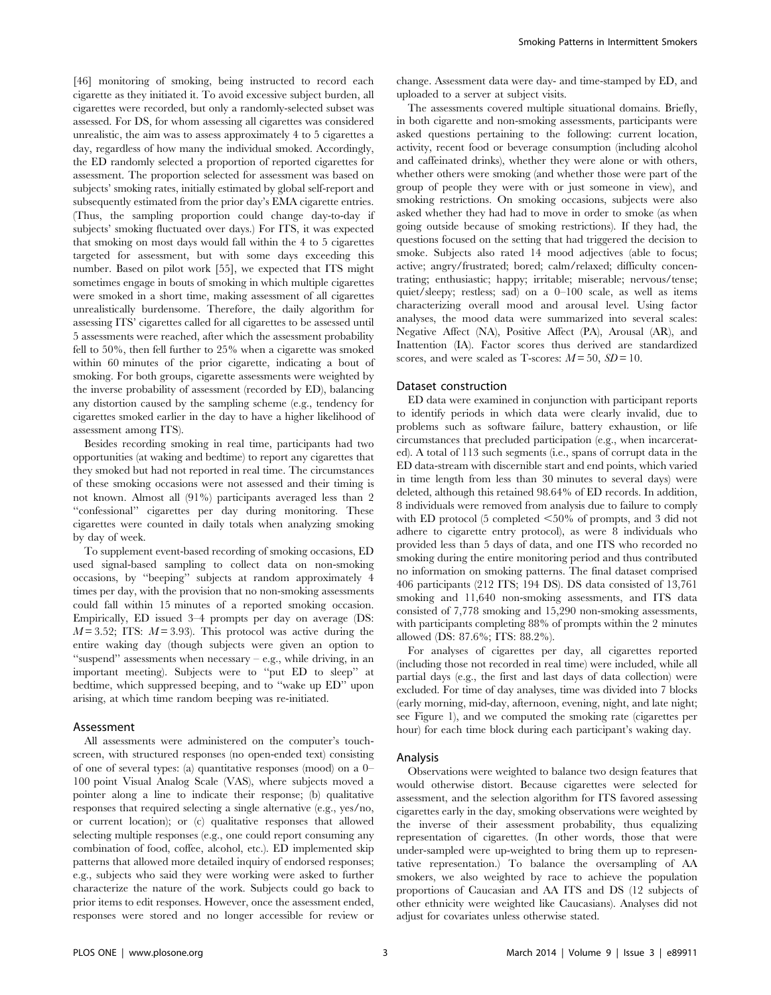[46] monitoring of smoking, being instructed to record each cigarette as they initiated it. To avoid excessive subject burden, all cigarettes were recorded, but only a randomly-selected subset was assessed. For DS, for whom assessing all cigarettes was considered unrealistic, the aim was to assess approximately 4 to 5 cigarettes a day, regardless of how many the individual smoked. Accordingly, the ED randomly selected a proportion of reported cigarettes for assessment. The proportion selected for assessment was based on subjects' smoking rates, initially estimated by global self-report and subsequently estimated from the prior day's EMA cigarette entries. (Thus, the sampling proportion could change day-to-day if subjects' smoking fluctuated over days.) For ITS, it was expected that smoking on most days would fall within the 4 to 5 cigarettes targeted for assessment, but with some days exceeding this number. Based on pilot work [55], we expected that ITS might sometimes engage in bouts of smoking in which multiple cigarettes were smoked in a short time, making assessment of all cigarettes unrealistically burdensome. Therefore, the daily algorithm for assessing ITS' cigarettes called for all cigarettes to be assessed until 5 assessments were reached, after which the assessment probability fell to 50%, then fell further to 25% when a cigarette was smoked within 60 minutes of the prior cigarette, indicating a bout of smoking. For both groups, cigarette assessments were weighted by the inverse probability of assessment (recorded by ED), balancing any distortion caused by the sampling scheme (e.g., tendency for cigarettes smoked earlier in the day to have a higher likelihood of assessment among ITS).

Besides recording smoking in real time, participants had two opportunities (at waking and bedtime) to report any cigarettes that they smoked but had not reported in real time. The circumstances of these smoking occasions were not assessed and their timing is not known. Almost all (91%) participants averaged less than 2 ''confessional'' cigarettes per day during monitoring. These cigarettes were counted in daily totals when analyzing smoking by day of week.

To supplement event-based recording of smoking occasions, ED used signal-based sampling to collect data on non-smoking occasions, by ''beeping'' subjects at random approximately 4 times per day, with the provision that no non-smoking assessments could fall within 15 minutes of a reported smoking occasion. Empirically, ED issued 3–4 prompts per day on average (DS:  $M = 3.52$ ; ITS:  $M = 3.93$ ). This protocol was active during the entire waking day (though subjects were given an option to "suspend" assessments when necessary  $-$  e.g., while driving, in an important meeting). Subjects were to ''put ED to sleep'' at bedtime, which suppressed beeping, and to ''wake up ED'' upon arising, at which time random beeping was re-initiated.

### Assessment

All assessments were administered on the computer's touchscreen, with structured responses (no open-ended text) consisting of one of several types: (a) quantitative responses (mood) on a 0– 100 point Visual Analog Scale (VAS), where subjects moved a pointer along a line to indicate their response; (b) qualitative responses that required selecting a single alternative (e.g., yes/no, or current location); or (c) qualitative responses that allowed selecting multiple responses (e.g., one could report consuming any combination of food, coffee, alcohol, etc.). ED implemented skip patterns that allowed more detailed inquiry of endorsed responses; e.g., subjects who said they were working were asked to further characterize the nature of the work. Subjects could go back to prior items to edit responses. However, once the assessment ended, responses were stored and no longer accessible for review or

change. Assessment data were day- and time-stamped by ED, and uploaded to a server at subject visits.

The assessments covered multiple situational domains. Briefly, in both cigarette and non-smoking assessments, participants were asked questions pertaining to the following: current location, activity, recent food or beverage consumption (including alcohol and caffeinated drinks), whether they were alone or with others, whether others were smoking (and whether those were part of the group of people they were with or just someone in view), and smoking restrictions. On smoking occasions, subjects were also asked whether they had had to move in order to smoke (as when going outside because of smoking restrictions). If they had, the questions focused on the setting that had triggered the decision to smoke. Subjects also rated 14 mood adjectives (able to focus; active; angry/frustrated; bored; calm/relaxed; difficulty concentrating; enthusiastic; happy; irritable; miserable; nervous/tense; quiet/sleepy; restless; sad) on a 0–100 scale, as well as items characterizing overall mood and arousal level. Using factor analyses, the mood data were summarized into several scales: Negative Affect (NA), Positive Affect (PA), Arousal (AR), and Inattention (IA). Factor scores thus derived are standardized scores, and were scaled as T-scores:  $M = 50$ ,  $SD = 10$ .

#### Dataset construction

ED data were examined in conjunction with participant reports to identify periods in which data were clearly invalid, due to problems such as software failure, battery exhaustion, or life circumstances that precluded participation (e.g., when incarcerated). A total of 113 such segments (i.e., spans of corrupt data in the ED data-stream with discernible start and end points, which varied in time length from less than 30 minutes to several days) were deleted, although this retained 98.64% of ED records. In addition, 8 individuals were removed from analysis due to failure to comply with ED protocol  $(5 \text{ completed } < 50\% \text{ of prompts, and } 3 \text{ did not})$ adhere to cigarette entry protocol), as were 8 individuals who provided less than 5 days of data, and one ITS who recorded no smoking during the entire monitoring period and thus contributed no information on smoking patterns. The final dataset comprised 406 participants (212 ITS; 194 DS). DS data consisted of 13,761 smoking and 11,640 non-smoking assessments, and ITS data consisted of 7,778 smoking and 15,290 non-smoking assessments, with participants completing 88% of prompts within the 2 minutes allowed (DS: 87.6%; ITS: 88.2%).

For analyses of cigarettes per day, all cigarettes reported (including those not recorded in real time) were included, while all partial days (e.g., the first and last days of data collection) were excluded. For time of day analyses, time was divided into 7 blocks (early morning, mid-day, afternoon, evening, night, and late night; see Figure 1), and we computed the smoking rate (cigarettes per hour) for each time block during each participant's waking day.

#### Analysis

Observations were weighted to balance two design features that would otherwise distort. Because cigarettes were selected for assessment, and the selection algorithm for ITS favored assessing cigarettes early in the day, smoking observations were weighted by the inverse of their assessment probability, thus equalizing representation of cigarettes. (In other words, those that were under-sampled were up-weighted to bring them up to representative representation.) To balance the oversampling of AA smokers, we also weighted by race to achieve the population proportions of Caucasian and AA ITS and DS (12 subjects of other ethnicity were weighted like Caucasians). Analyses did not adjust for covariates unless otherwise stated.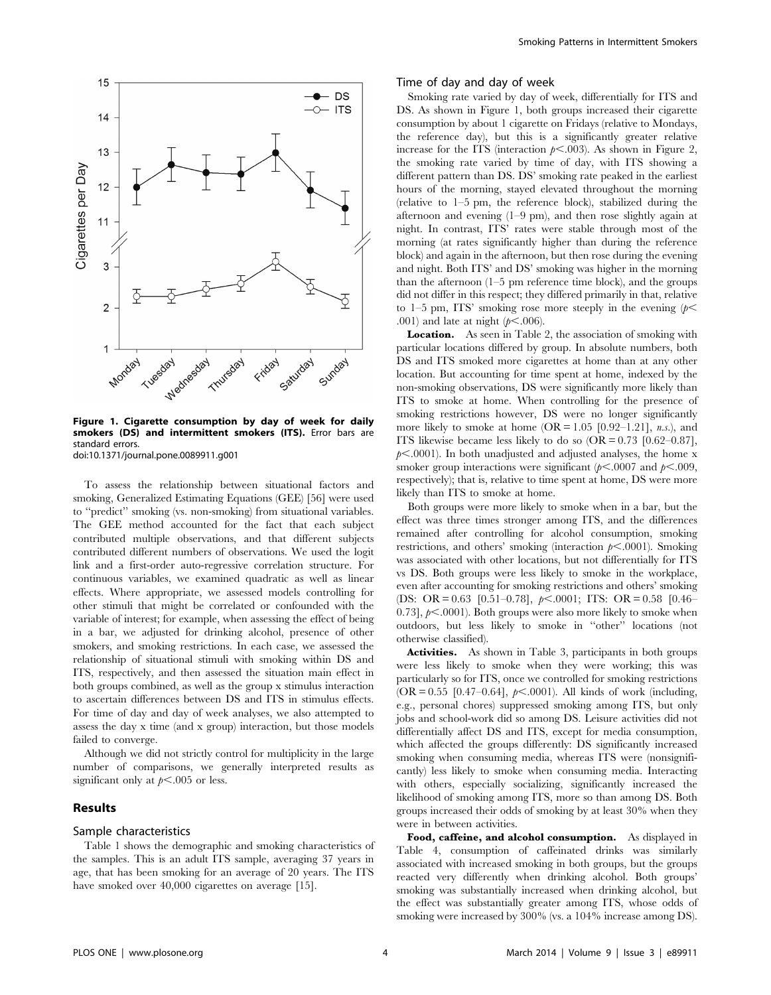

Figure 1. Cigarette consumption by day of week for daily smokers (DS) and intermittent smokers (ITS). Error bars are standard errors.

doi:10.1371/journal.pone.0089911.g001

To assess the relationship between situational factors and smoking, Generalized Estimating Equations (GEE) [56] were used to ''predict'' smoking (vs. non-smoking) from situational variables. The GEE method accounted for the fact that each subject contributed multiple observations, and that different subjects contributed different numbers of observations. We used the logit link and a first-order auto-regressive correlation structure. For continuous variables, we examined quadratic as well as linear effects. Where appropriate, we assessed models controlling for other stimuli that might be correlated or confounded with the variable of interest; for example, when assessing the effect of being in a bar, we adjusted for drinking alcohol, presence of other smokers, and smoking restrictions. In each case, we assessed the relationship of situational stimuli with smoking within DS and ITS, respectively, and then assessed the situation main effect in both groups combined, as well as the group x stimulus interaction to ascertain differences between DS and ITS in stimulus effects. For time of day and day of week analyses, we also attempted to assess the day x time (and x group) interaction, but those models failed to converge.

Although we did not strictly control for multiplicity in the large number of comparisons, we generally interpreted results as significant only at  $p<.005$  or less.

## Results

#### Sample characteristics

Table 1 shows the demographic and smoking characteristics of the samples. This is an adult ITS sample, averaging 37 years in age, that has been smoking for an average of 20 years. The ITS have smoked over 40,000 cigarettes on average [15].

#### Time of day and day of week

Smoking rate varied by day of week, differentially for ITS and DS. As shown in Figure 1, both groups increased their cigarette consumption by about 1 cigarette on Fridays (relative to Mondays, the reference day), but this is a significantly greater relative increase for the ITS (interaction  $p \le 0.003$ ). As shown in Figure 2, the smoking rate varied by time of day, with ITS showing a different pattern than DS. DS' smoking rate peaked in the earliest hours of the morning, stayed elevated throughout the morning (relative to 1–5 pm, the reference block), stabilized during the afternoon and evening (1–9 pm), and then rose slightly again at night. In contrast, ITS' rates were stable through most of the morning (at rates significantly higher than during the reference block) and again in the afternoon, but then rose during the evening and night. Both ITS' and DS' smoking was higher in the morning than the afternoon (1–5 pm reference time block), and the groups did not differ in this respect; they differed primarily in that, relative to 1–5 pm, ITS' smoking rose more steeply in the evening  $(p<$ .001) and late at night  $(p<.006)$ .

Location. As seen in Table 2, the association of smoking with particular locations differed by group. In absolute numbers, both DS and ITS smoked more cigarettes at home than at any other location. But accounting for time spent at home, indexed by the non-smoking observations, DS were significantly more likely than ITS to smoke at home. When controlling for the presence of smoking restrictions however, DS were no longer significantly more likely to smoke at home  $(OR = 1.05 \, [0.92-1.21], n.s.)$ , and ITS likewise became less likely to do so  $(OR = 0.73 \, [0.62 - 0.87]$ ,  $p<.0001$ ). In both unadjusted and adjusted analyses, the home x smoker group interactions were significant  $(p<.0007$  and  $p<.009$ , respectively); that is, relative to time spent at home, DS were more likely than ITS to smoke at home.

Both groups were more likely to smoke when in a bar, but the effect was three times stronger among ITS, and the differences remained after controlling for alcohol consumption, smoking restrictions, and others' smoking (interaction  $p<.0001$ ). Smoking was associated with other locations, but not differentially for ITS vs DS. Both groups were less likely to smoke in the workplace, even after accounting for smoking restrictions and others' smoking (DS: OR = 0.63 [0.51–0.78],  $p<.0001$ ; ITS: OR = 0.58 [0.46– 0.73],  $p<.0001$ . Both groups were also more likely to smoke when outdoors, but less likely to smoke in ''other'' locations (not otherwise classified).

Activities. As shown in Table 3, participants in both groups were less likely to smoke when they were working; this was particularly so for ITS, once we controlled for smoking restrictions  $(OR = 0.55 [0.47-0.64], p<.0001)$ . All kinds of work (including, e.g., personal chores) suppressed smoking among ITS, but only jobs and school-work did so among DS. Leisure activities did not differentially affect DS and ITS, except for media consumption, which affected the groups differently: DS significantly increased smoking when consuming media, whereas ITS were (nonsignificantly) less likely to smoke when consuming media. Interacting with others, especially socializing, significantly increased the likelihood of smoking among ITS, more so than among DS. Both groups increased their odds of smoking by at least 30% when they were in between activities.

Food, caffeine, and alcohol consumption. As displayed in Table 4, consumption of caffeinated drinks was similarly associated with increased smoking in both groups, but the groups reacted very differently when drinking alcohol. Both groups' smoking was substantially increased when drinking alcohol, but the effect was substantially greater among ITS, whose odds of smoking were increased by 300% (vs. a 104% increase among DS).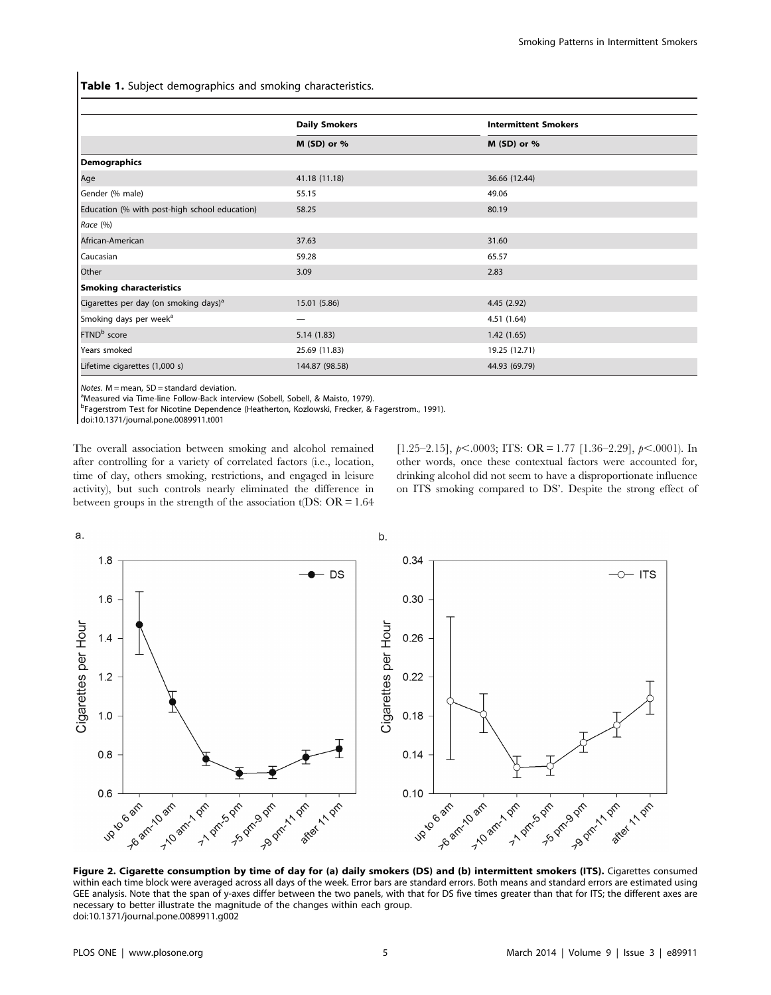Table 1. Subject demographics and smoking characteristics.

|                                                   | <b>Daily Smokers</b> | <b>Intermittent Smokers</b> |
|---------------------------------------------------|----------------------|-----------------------------|
|                                                   |                      |                             |
|                                                   | M (SD) or %          | $M$ (SD) or %               |
| <b>Demographics</b>                               |                      |                             |
| Age                                               | 41.18 (11.18)        | 36.66 (12.44)               |
| Gender (% male)                                   | 55.15                | 49.06                       |
| Education (% with post-high school education)     | 58.25                | 80.19                       |
| Race (%)                                          |                      |                             |
| African-American                                  | 37.63                | 31.60                       |
| Caucasian                                         | 59.28                | 65.57                       |
| Other                                             | 3.09                 | 2.83                        |
| Smoking characteristics                           |                      |                             |
| Cigarettes per day (on smoking days) <sup>a</sup> | 15.01 (5.86)         | 4.45 (2.92)                 |
| Smoking days per week <sup>a</sup>                |                      | 4.51 (1.64)                 |
| FTND <sup>b</sup> score                           | 5.14(1.83)           | 1.42(1.65)                  |
| Years smoked                                      | 25.69 (11.83)        | 19.25 (12.71)               |
| Lifetime cigarettes (1,000 s)                     | 144.87 (98.58)       | 44.93 (69.79)               |

Notes.  $M =$  mean,  $SD =$  standard deviation.

<sup>a</sup>Measured via Time-line Follow-Back interview (Sobell, Sobell, & Maisto, 1979).

<sup>b</sup>Fagerstrom Test for Nicotine Dependence (Heatherton, Kozlowski, Frecker, & Fagerstrom., 1991).

doi:10.1371/journal.pone.0089911.t001

The overall association between smoking and alcohol remained after controlling for a variety of correlated factors (i.e., location, time of day, others smoking, restrictions, and engaged in leisure activity), but such controls nearly eliminated the difference in between groups in the strength of the association t( $DS: OR = 1.64$  [1.25–2.15],  $p<.0003$ ; ITS: OR = 1.77 [1.36–2.29],  $p<.0001$ ). In other words, once these contextual factors were accounted for, drinking alcohol did not seem to have a disproportionate influence on ITS smoking compared to DS'. Despite the strong effect of



Figure 2. Cigarette consumption by time of day for (a) daily smokers (DS) and (b) intermittent smokers (ITS). Cigarettes consumed within each time block were averaged across all days of the week. Error bars are standard errors. Both means and standard errors are estimated using GEE analysis. Note that the span of y-axes differ between the two panels, with that for DS five times greater than that for ITS; the different axes are necessary to better illustrate the magnitude of the changes within each group. doi:10.1371/journal.pone.0089911.g002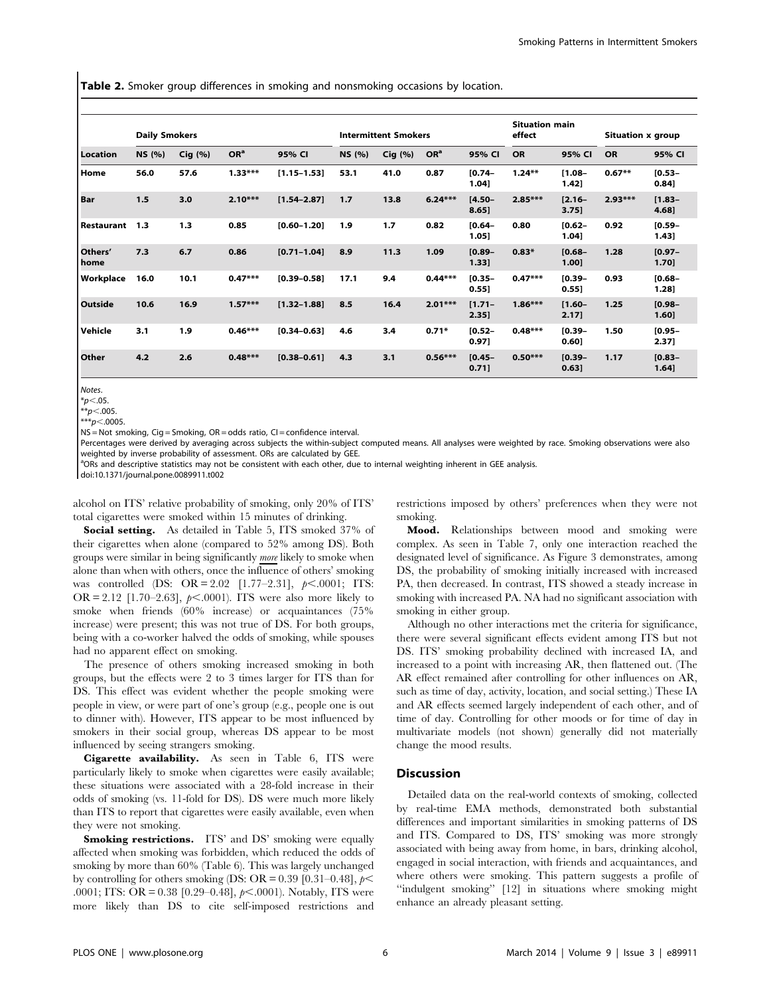Table 2. Smoker group differences in smoking and nonsmoking occasions by location.

|                                                                                                       | <b>Daily Smokers</b> |        |                 |                 |               | <b>Intermittent Smokers</b> |                 |                    | <b>Situation main</b><br>effect |                      | <b>Situation x group</b> |                       |
|-------------------------------------------------------------------------------------------------------|----------------------|--------|-----------------|-----------------|---------------|-----------------------------|-----------------|--------------------|---------------------------------|----------------------|--------------------------|-----------------------|
| <b>Location</b><br>Home<br><b>Bar</b><br>Restaurant<br>Others'<br>home<br>Workplace<br><b>Outside</b> | NS (%)               | Ciq(%) | OR <sup>a</sup> | 95% CI          | <b>NS</b> (%) | Cig(%)                      | OR <sup>a</sup> | 95% CI             | <b>OR</b>                       | 95% CI               | <b>OR</b>                | 95% CI                |
|                                                                                                       | 56.0                 | 57.6   | $1.33***$       | $[1.15 - 1.53]$ | 53.1          | 41.0                        | 0.87            | $[0.74 -$<br>1.04] | $1.24***$                       | $1.08 -$<br>1.42]    | $0.67**$                 | $[0.53 -$<br>0.84]    |
|                                                                                                       | 1.5                  | 3.0    | $2.10***$       | $[1.54 - 2.87]$ | 1.7           | 13.8                        | $6.24***$       | $[4.50 -$<br>8.65] | $2.85***$                       | $[2.16 -$<br>3.75]   | $2.93***$                | $[1.83 -$<br>4.68]    |
|                                                                                                       | 1.3                  | 1.3    | 0.85            | $[0.60 - 1.20]$ | 1.9           | 1.7                         | 0.82            | $[0.64 -$<br>1.05] | 0.80                            | $[0.62 -$<br>1.04]   | 0.92                     | $[0.59 -$<br>1.43]    |
|                                                                                                       | 7.3                  | 6.7    | 0.86            | $[0.71 - 1.04]$ | 8.9           | 11.3                        | 1.09            | $[0.89 -$<br>1.33] | $0.83*$                         | $[0.68 -$<br>1.00]   | 1.28                     | $[0.97 -$<br>1.70]    |
|                                                                                                       | 16.0                 | 10.1   | $0.47***$       | $[0.39 - 0.58]$ | 17.1          | 9.4                         | $0.44***$       | $[0.35 -$<br>0.55] | $0.47***$                       | $[0.39 -$<br>0.55]   | 0.93                     | $[0.68 -$<br>1.28]    |
|                                                                                                       | 10.6                 | 16.9   | $1.57***$       | $[1.32 - 1.88]$ | 8.5           | 16.4                        | $2.01***$       | $1.71 -$<br>2.35]  | $1.86***$                       | $1.60 -$<br>$2.17$ ] | 1.25                     | $[0.98 -$<br>1.60]    |
| Vehicle                                                                                               | 3.1                  | 1.9    | $0.46***$       | $[0.34 - 0.63]$ | 4.6           | 3,4                         | $0.71*$         | $[0.52 -$<br>0.97] | $0.48***$                       | $[0.39 -$<br>0.60]   | 1.50                     | $[0.95 -$<br>$2.37$ ] |
| <b>Other</b>                                                                                          | 4.2                  | 2.6    | $0.48***$       | $[0.38 - 0.61]$ | 4.3           | 3.1                         | $0.56***$       | $[0.45 -$<br>0.71] | $0.50***$                       | $[0.39 -$<br>0.63]   | 1.17                     | $[0.83 -$<br>1.64]    |

Notes.

 $*_{p<.05}$ 

 $*$ <sub>p</sub> $<$ .005.

 $***p<.0005$ .

NS = Not smoking, Cig = Smoking, OR = odds ratio, CI = confidence interval.

Percentages were derived by averaging across subjects the within-subject computed means. All analyses were weighted by race. Smoking observations were also weighted by inverse probability of assessment. ORs are calculated by GEE.

<sup>a</sup>ORs and descriptive statistics may not be consistent with each other, due to internal weighting inherent in GEE analysis.

doi:10.1371/journal.pone.0089911.t002

alcohol on ITS' relative probability of smoking, only 20% of ITS' total cigarettes were smoked within 15 minutes of drinking.

Social setting. As detailed in Table 5, ITS smoked 37% of their cigarettes when alone (compared to 52% among DS). Both groups were similar in being significantly more likely to smoke when alone than when with others, once the influence of others' smoking was controlled (DS: OR = 2.02 [1.77–2.31],  $p<.0001$ ; ITS: OR = 2.12 [1.70–2.63],  $p<.0001$ ). ITS were also more likely to smoke when friends (60% increase) or acquaintances (75% increase) were present; this was not true of DS. For both groups, being with a co-worker halved the odds of smoking, while spouses had no apparent effect on smoking.

The presence of others smoking increased smoking in both groups, but the effects were 2 to 3 times larger for ITS than for DS. This effect was evident whether the people smoking were people in view, or were part of one's group (e.g., people one is out to dinner with). However, ITS appear to be most influenced by smokers in their social group, whereas DS appear to be most influenced by seeing strangers smoking.

Cigarette availability. As seen in Table 6, ITS were particularly likely to smoke when cigarettes were easily available; these situations were associated with a 28-fold increase in their odds of smoking (vs. 11-fold for DS). DS were much more likely than ITS to report that cigarettes were easily available, even when they were not smoking.

**Smoking restrictions.** ITS' and DS' smoking were equally affected when smoking was forbidden, which reduced the odds of smoking by more than 60% (Table 6). This was largely unchanged by controlling for others smoking (DS: OR = 0.39 [0.31–0.48],  $p<$ .0001; ITS: OR = 0.38 [0.29–0.48],  $p$ <.0001). Notably, ITS were more likely than DS to cite self-imposed restrictions and restrictions imposed by others' preferences when they were not smoking.

Mood. Relationships between mood and smoking were complex. As seen in Table 7, only one interaction reached the designated level of significance. As Figure 3 demonstrates, among DS, the probability of smoking initially increased with increased PA, then decreased. In contrast, ITS showed a steady increase in smoking with increased PA. NA had no significant association with smoking in either group.

Although no other interactions met the criteria for significance, there were several significant effects evident among ITS but not DS. ITS' smoking probability declined with increased IA, and increased to a point with increasing AR, then flattened out. (The AR effect remained after controlling for other influences on AR, such as time of day, activity, location, and social setting.) These IA and AR effects seemed largely independent of each other, and of time of day. Controlling for other moods or for time of day in multivariate models (not shown) generally did not materially change the mood results.

## Discussion

Detailed data on the real-world contexts of smoking, collected by real-time EMA methods, demonstrated both substantial differences and important similarities in smoking patterns of DS and ITS. Compared to DS, ITS' smoking was more strongly associated with being away from home, in bars, drinking alcohol, engaged in social interaction, with friends and acquaintances, and where others were smoking. This pattern suggests a profile of ''indulgent smoking'' [12] in situations where smoking might enhance an already pleasant setting.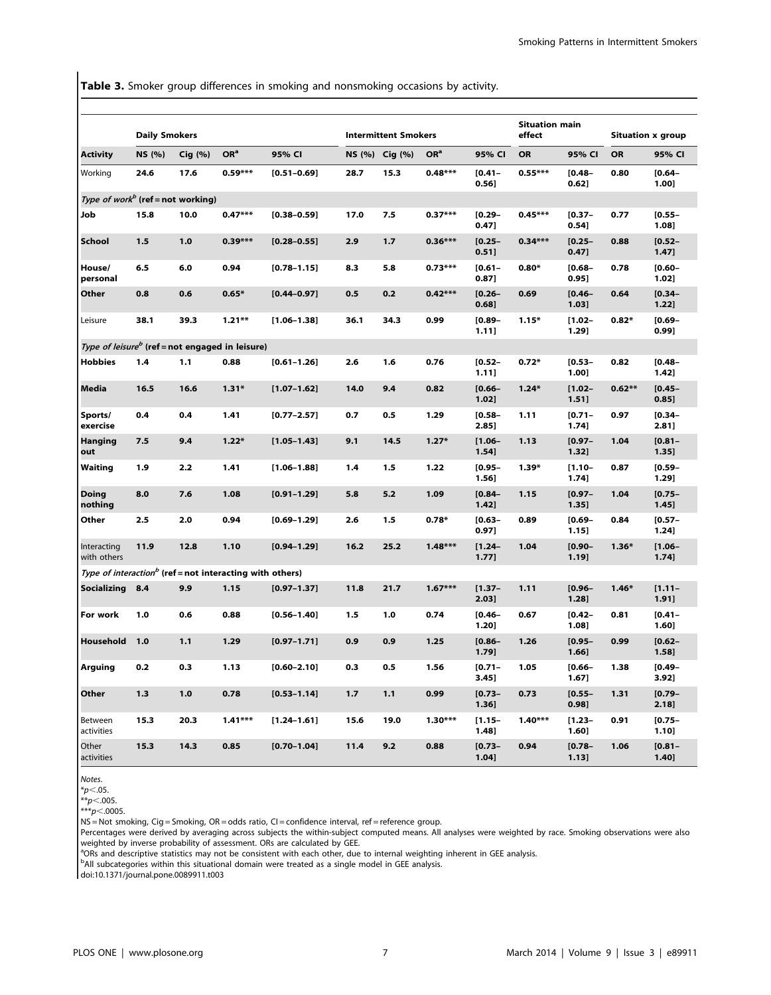Table 3. Smoker group differences in smoking and nonsmoking occasions by activity.

|                                                                      |               | <b>Daily Smokers</b> |                 |                 |      | <b>Intermittent Smokers</b> |                 |                    | <b>Situation main</b><br>effect |                    | <b>Situation x group</b> |                    |
|----------------------------------------------------------------------|---------------|----------------------|-----------------|-----------------|------|-----------------------------|-----------------|--------------------|---------------------------------|--------------------|--------------------------|--------------------|
| <b>Activity</b>                                                      | <b>NS</b> (%) | Cig(%)               | OR <sup>a</sup> | 95% CI          |      | NS (%) Cig (%)              | OR <sup>a</sup> | 95% CI             | <b>OR</b>                       | 95% CI             | <b>OR</b>                | 95% CI             |
| Working                                                              | 24.6          | 17.6                 | $0.59***$       | $[0.51 - 0.69]$ | 28.7 | 15.3                        | $0.48***$       | $[0.41 -$<br>0.56] | $0.55***$                       | $[0.48 -$<br>0.62] | 0.80                     | $[0.64 -$<br>1.00] |
| Type of work <sup>b</sup> (ref = not working)                        |               |                      |                 |                 |      |                             |                 |                    |                                 |                    |                          |                    |
| Job                                                                  | 15.8          | 10.0                 | $0.47***$       | $[0.38 - 0.59]$ | 17.0 | 7.5                         | $0.37***$       | $[0.29 -$<br>0.47] | $0.45***$                       | $[0.37 -$<br>0.54] | 0.77                     | $[0.55 -$<br>1.08] |
| School                                                               | 1.5           | 1.0                  | $0.39***$       | $[0.28 - 0.55]$ | 2.9  | 1.7                         | $0.36***$       | $[0.25 -$<br>0.51] | $0.34***$                       | $[0.25 -$<br>0.47] | 0.88                     | $[0.52 -$<br>1.47] |
| House/<br>personal                                                   | 6.5           | 6.0                  | 0.94            | $[0.78 - 1.15]$ | 8.3  | 5.8                         | $0.73***$       | $[0.61 -$<br>0.87] | $0.80*$                         | $[0.68 -$<br>0.95] | 0.78                     | $[0.60 -$<br>1.02] |
| Other                                                                | 0.8           | 0.6                  | $0.65*$         | $[0.44 - 0.97]$ | 0.5  | 0.2                         | $0.42***$       | $[0.26 -$<br>0.68] | 0.69                            | $[0.46 -$<br>1.03] | 0.64                     | $[0.34 -$<br>1.22] |
| Leisure                                                              | 38.1          | 39.3                 | $1.21**$        | $[1.06 - 1.38]$ | 36.1 | 34.3                        | 0.99            | $[0.89 -$<br>1.11] | $1.15*$                         | $[1.02 -$<br>1.29] | $0.82*$                  | $[0.69 -$<br>0.99] |
| Type of leisure <sup>b</sup> (ref = not engaged in leisure)          |               |                      |                 |                 |      |                             |                 |                    |                                 |                    |                          |                    |
| <b>Hobbies</b>                                                       | 1.4           | 1.1                  | 0.88            | $[0.61 - 1.26]$ | 2.6  | 1.6                         | 0.76            | $[0.52 -$<br>1.11] | $0.72*$                         | $[0.53 -$<br>1.00] | 0.82                     | $[0.48 -$<br>1.42] |
| Media                                                                | 16.5          | 16.6                 | $1.31*$         | $[1.07 - 1.62]$ | 14.0 | 9.4                         | 0.82            | $[0.66 -$<br>1.02] | $1.24*$                         | $[1.02 -$<br>1.51] | $0.62**$                 | $[0.45 -$<br>0.85] |
| Sports/<br>exercise                                                  | 0.4           | 0.4                  | 1.41            | $[0.77 - 2.57]$ | 0.7  | 0.5                         | 1.29            | $[0.58 -$<br>2.85] | 1.11                            | $[0.71 -$<br>1.74] | 0.97                     | $[0.34 -$<br>2.81] |
| Hanging<br>out                                                       | 7.5           | 9.4                  | $1.22*$         | $[1.05 - 1.43]$ | 9.1  | 14.5                        | $1.27*$         | $[1.06 -$<br>1.54] | 1.13                            | $[0.97 -$<br>1.32] | 1.04                     | $[0.81 -$<br>1.35] |
| Waiting                                                              | 1.9           | 2.2                  | 1.41            | $[1.06 - 1.88]$ | 1.4  | 1.5                         | 1.22            | $[0.95 -$<br>1.56] | $1.39*$                         | $[1.10 -$<br>1.74] | 0.87                     | $[0.59 -$<br>1.29] |
| Doing<br>nothing                                                     | 8.0           | 7.6                  | 1.08            | $[0.91 - 1.29]$ | 5.8  | 5.2                         | 1.09            | $[0.84 -$<br>1.42] | 1.15                            | $[0.97 -$<br>1.35] | 1.04                     | $[0.75 -$<br>1.45] |
| Other                                                                | 2.5           | 2.0                  | 0.94            | $[0.69 - 1.29]$ | 2.6  | 1.5                         | $0.78*$         | $[0.63 -$<br>0.97] | 0.89                            | $[0.69 -$<br>1.15] | 0.84                     | $[0.57 -$<br>1.24] |
| Interacting<br>with others                                           | 11.9          | 12.8                 | 1.10            | $[0.94 - 1.29]$ | 16.2 | 25.2                        | $1.48***$       | $[1.24 -$<br>1.77] | 1.04                            | $[0.90 -$<br>1.19] | $1.36*$                  | $[1.06 -$<br>1.74] |
| Type of interaction <sup>b</sup> (ref = not interacting with others) |               |                      |                 |                 |      |                             |                 |                    |                                 |                    |                          |                    |
| Socializing                                                          | 8.4           | 9.9                  | 1.15            | $[0.97 - 1.37]$ | 11.8 | 21.7                        | $1.67***$       | $[1.37 -$<br>2.03] | 1.11                            | $[0.96 -$<br>1.28] | $1.46*$                  | $[1.11 -$<br>1.91] |
| For work                                                             | 1.0           | 0.6                  | 0.88            | $[0.56 - 1.40]$ | 1.5  | 1.0                         | 0.74            | $[0.46 -$<br>1.20] | 0.67                            | $[0.42 -$<br>1.08] | 0.81                     | $[0.41 -$<br>1.60] |
| Household                                                            | 1.0           | 1.1                  | 1.29            | $[0.97 - 1.71]$ | 0.9  | 0.9                         | 1.25            | $[0.86 -$<br>1.79] | 1.26                            | $[0.95 -$<br>1.66] | 0.99                     | $[0.62 -$<br>1.58] |
| <b>Arguing</b>                                                       | 0.2           | 0.3                  | 1.13            | $[0.60 - 2.10]$ | 0.3  | 0.5                         | 1.56            | $[0.71 -$<br>3.45] | 1.05                            | $[0.66 -$<br>1.67] | 1.38                     | $[0.49 -$<br>3.92] |
| Other                                                                | 1.3           | 1.0                  | 0.78            | $[0.53 - 1.14]$ | 1.7  | 1.1                         | 0.99            | $[0.73 -$<br>1.36] | 0.73                            | $[0.55 -$<br>0.98] | 1.31                     | $[0.79 -$<br>2.18] |
| Between<br>activities                                                | 15.3          | 20.3                 | $1.41***$       | $[1.24 - 1.61]$ | 15.6 | 19.0                        | $1.30***$       | $[1.15 -$<br>1.48] | $1.40***$                       | $[1.23 -$<br>1.60] | 0.91                     | $[0.75 -$<br>1.10] |
| Other<br>activities                                                  | 15.3          | 14.3                 | 0.85            | $[0.70 - 1.04]$ | 11.4 | 9.2                         | 0.88            | $[0.73 -$<br>1.04] | 0.94                            | $[0.78 -$<br>1.13] | 1.06                     | $[0.81 -$<br>1.40] |

Notes.

 $~^*\!p<$ .05.

NS = Not smoking, Cig = Smoking, OR = odds ratio, CI = confidence interval, ref = reference group.

Percentages were derived by averaging across subjects the within-subject computed means. All analyses were weighted by race. Smoking observations were also weighted by inverse probability of assessment. ORs are calculated by GEE.<br><sup>a</sup>ORs and descriptive statistics may not be consistent with each other, due to internal weighting inherent in GEE analysis.

<sup>b</sup>All subcategories within this situational domain were treated as a single model in GEE analysis.

doi:10.1371/journal.pone.0089911.t003

 $^{**}p<.005$ . \*\*\**p*<.0005.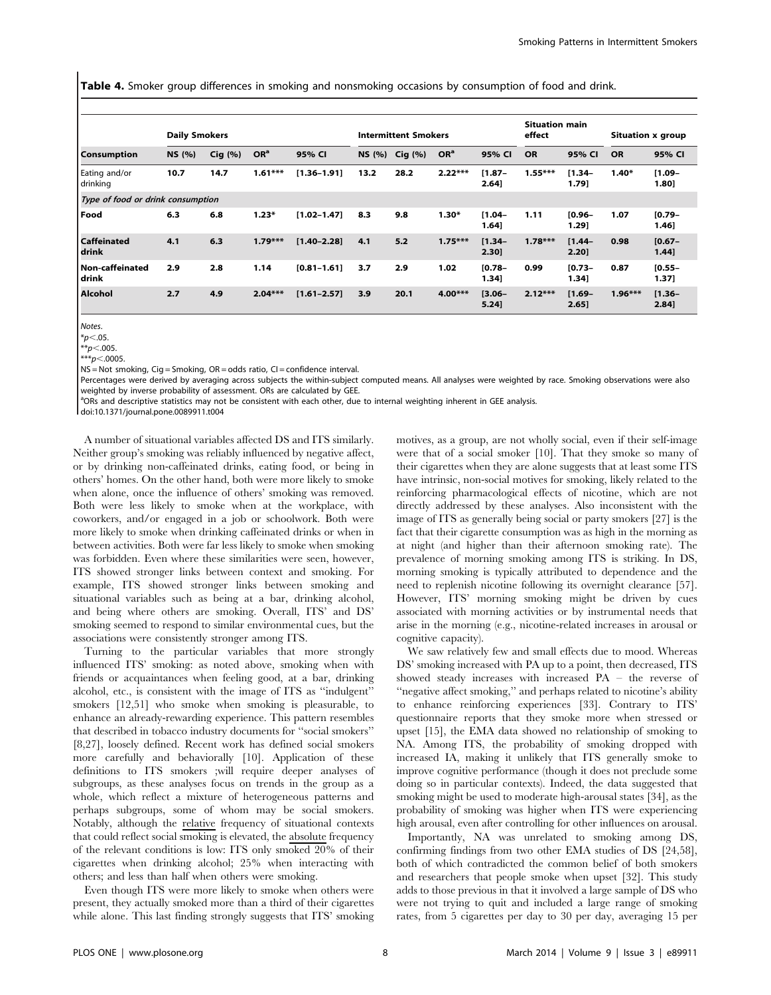**Table 4.** Smoker group differences in smoking and nonsmoking occasions by consumption of food and drink.

|                                   | <b>Daily Smokers</b> |        |                 |                 |       | <b>Intermittent Smokers</b> |                 |                    | <b>Situation main</b><br>effect |                      | <b>Situation x group</b> |                    |
|-----------------------------------|----------------------|--------|-----------------|-----------------|-------|-----------------------------|-----------------|--------------------|---------------------------------|----------------------|--------------------------|--------------------|
| <b>Consumption</b>                | <b>NS</b> (%)        | Cig(%) | OR <sup>a</sup> | 95% CI          | NS(%) | Cig(%)                      | OR <sup>a</sup> | 95% CI             | <b>OR</b>                       | 95% CI               | OR                       | 95% CI             |
| Eating and/or<br>drinking         | 10.7                 | 14.7   | $1.61***$       | $[1.36 - 1.91]$ | 13.2  | 28.2                        | $2.22***$       | $[1.87 -$<br>2.64] | $1.55***$                       | $[1.34 -$<br>1.79]   | $1.40*$                  | $[1.09 -$<br>1.80] |
| Type of food or drink consumption |                      |        |                 |                 |       |                             |                 |                    |                                 |                      |                          |                    |
| l Food                            | 6.3                  | 6.8    | $1.23*$         | $[1.02 - 1.47]$ | 8.3   | 9.8                         | $1.30*$         | $1.04 -$<br>1.641  | 1.11                            | $10.96 -$<br>1.291   | 1.07                     | $[0.79 -$<br>1.46] |
| <b>Caffeinated</b><br>drink       | 4.1                  | 6.3    | $1.79***$       | $[1.40 - 2.28]$ | 4.1   | 5.2                         | $1.75***$       | $[1.34 -$<br>2.30] | $1.78***$                       | $[1.44-$<br>$2.20$ ] | 0.98                     | $[0.67 -$<br>1.44] |
| Non-caffeinated<br>drink          | 2.9                  | 2.8    | 1.14            | $[0.81 - 1.61]$ | 3.7   | 2.9                         | 1.02            | $[0.78 -$<br>1.34] | 0.99                            | $[0.73 -$<br>1.34]   | 0.87                     | $[0.55 -$<br>1.37] |
| Alcohol                           | 2.7                  | 4.9    | $2.04***$       | $[1.61 - 2.57]$ | 3.9   | 20.1                        | $4.00***$       | $13.06 -$<br>5.24] | $2.12***$                       | $1.69 -$<br>2.65]    | $1.96***$                | $[1.36 -$<br>2.84] |

**Notes** 

 $*_{p<.05}$ 

 $*$ *r* $< .005$ 

 $***p<.0005$ .

NS = Not smoking, Cig = Smoking, OR = odds ratio, CI = confidence interval.

Percentages were derived by averaging across subjects the within-subject computed means. All analyses were weighted by race. Smoking observations were also weighted by inverse probability of assessment. ORs are calculated by GEE.

<sup>a</sup>ORs and descriptive statistics may not be consistent with each other, due to internal weighting inherent in GEE analysis.

doi:10.1371/journal.pone.0089911.t004

A number of situational variables affected DS and ITS similarly. Neither group's smoking was reliably influenced by negative affect, or by drinking non-caffeinated drinks, eating food, or being in others' homes. On the other hand, both were more likely to smoke when alone, once the influence of others' smoking was removed. Both were less likely to smoke when at the workplace, with coworkers, and/or engaged in a job or schoolwork. Both were more likely to smoke when drinking caffeinated drinks or when in between activities. Both were far less likely to smoke when smoking was forbidden. Even where these similarities were seen, however, ITS showed stronger links between context and smoking. For example, ITS showed stronger links between smoking and situational variables such as being at a bar, drinking alcohol, and being where others are smoking. Overall, ITS' and DS' smoking seemed to respond to similar environmental cues, but the associations were consistently stronger among ITS.

Turning to the particular variables that more strongly influenced ITS' smoking: as noted above, smoking when with friends or acquaintances when feeling good, at a bar, drinking alcohol, etc., is consistent with the image of ITS as ''indulgent'' smokers [12,51] who smoke when smoking is pleasurable, to enhance an already-rewarding experience. This pattern resembles that described in tobacco industry documents for ''social smokers'' [8,27], loosely defined. Recent work has defined social smokers more carefully and behaviorally [10]. Application of these definitions to ITS smokers ;will require deeper analyses of subgroups, as these analyses focus on trends in the group as a whole, which reflect a mixture of heterogeneous patterns and perhaps subgroups, some of whom may be social smokers. Notably, although the relative frequency of situational contexts that could reflect social smoking is elevated, the absolute frequency of the relevant conditions is low: ITS only smoked 20% of their cigarettes when drinking alcohol; 25% when interacting with others; and less than half when others were smoking.

Even though ITS were more likely to smoke when others were present, they actually smoked more than a third of their cigarettes while alone. This last finding strongly suggests that ITS' smoking motives, as a group, are not wholly social, even if their self-image were that of a social smoker [10]. That they smoke so many of their cigarettes when they are alone suggests that at least some ITS have intrinsic, non-social motives for smoking, likely related to the reinforcing pharmacological effects of nicotine, which are not directly addressed by these analyses. Also inconsistent with the image of ITS as generally being social or party smokers [27] is the fact that their cigarette consumption was as high in the morning as at night (and higher than their afternoon smoking rate). The prevalence of morning smoking among ITS is striking. In DS, morning smoking is typically attributed to dependence and the need to replenish nicotine following its overnight clearance [57]. However, ITS' morning smoking might be driven by cues associated with morning activities or by instrumental needs that arise in the morning (e.g., nicotine-related increases in arousal or cognitive capacity).

We saw relatively few and small effects due to mood. Whereas DS' smoking increased with PA up to a point, then decreased, ITS showed steady increases with increased PA – the reverse of ''negative affect smoking,'' and perhaps related to nicotine's ability to enhance reinforcing experiences [33]. Contrary to ITS' questionnaire reports that they smoke more when stressed or upset [15], the EMA data showed no relationship of smoking to NA. Among ITS, the probability of smoking dropped with increased IA, making it unlikely that ITS generally smoke to improve cognitive performance (though it does not preclude some doing so in particular contexts). Indeed, the data suggested that smoking might be used to moderate high-arousal states [34], as the probability of smoking was higher when ITS were experiencing high arousal, even after controlling for other influences on arousal.

Importantly, NA was unrelated to smoking among DS, confirming findings from two other EMA studies of DS [24,58], both of which contradicted the common belief of both smokers and researchers that people smoke when upset [32]. This study adds to those previous in that it involved a large sample of DS who were not trying to quit and included a large range of smoking rates, from 5 cigarettes per day to 30 per day, averaging 15 per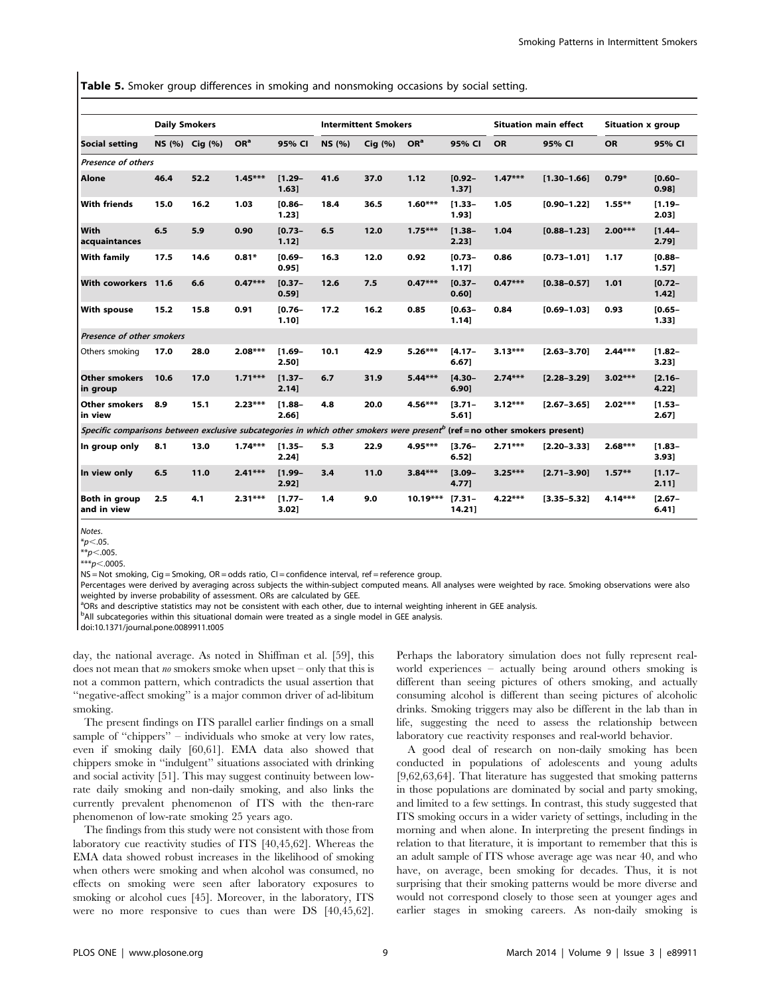Table 5. Smoker group differences in smoking and nonsmoking occasions by social setting.

|                                                                                                                                        | <b>Daily Smokers</b> |                |                 |                    |               | <b>Intermittent Smokers</b> |                 |                       |           | <b>Situation main effect</b> | <b>Situation x group</b> |                    |
|----------------------------------------------------------------------------------------------------------------------------------------|----------------------|----------------|-----------------|--------------------|---------------|-----------------------------|-----------------|-----------------------|-----------|------------------------------|--------------------------|--------------------|
| <b>Social setting</b>                                                                                                                  |                      | NS (%) Cig (%) | OR <sup>a</sup> | 95% CI             | <b>NS (%)</b> | Ciq(%)                      | OR <sup>a</sup> | 95% CI                | OR        | 95% CI                       | <b>OR</b>                | 95% CI             |
| <b>Presence of others</b>                                                                                                              |                      |                |                 |                    |               |                             |                 |                       |           |                              |                          |                    |
| Alone                                                                                                                                  | 46.4                 | 52.2           | $1.45***$       | $[1.29 -$<br>1.631 | 41.6          | 37.0                        | 1.12            | $[0.92 -$<br>1.37]    | $1.47***$ | $[1.30 - 1.66]$              | $0.79*$                  | $[0.60 -$<br>0.98] |
| <b>With friends</b>                                                                                                                    | 15.0                 | 16.2           | 1.03            | $[0.86 -$<br>1.23] | 18.4          | 36.5                        | $1.60***$       | $[1.33 -$<br>1.93]    | 1.05      | $[0.90 - 1.22]$              | $1.55***$                | $1.19 -$<br>2.03]  |
| With<br>acquaintances                                                                                                                  | 6.5                  | 5.9            | 0.90            | $[0.73 -$<br>1.12] | 6.5           | 12.0                        | $1.75***$       | $[1.38 -$<br>$2.23$ ] | 1.04      | $[0.88 - 1.23]$              | $2.00***$                | $[1.44-$<br>2.79]  |
| With family                                                                                                                            | 17.5                 | 14.6           | $0.81*$         | $[0.69 -$<br>0.95] | 16.3          | 12.0                        | 0.92            | $[0.73 -$<br>1.17]    | 0.86      | $[0.73 - 1.01]$              | 1.17                     | $[0.88 -$<br>1.57] |
| With coworkers 11.6                                                                                                                    |                      | 6.6            | $0.47***$       | $[0.37 -$<br>0.59] | 12.6          | 7.5                         | $0.47***$       | $[0.37 -$<br>0.60]    | $0.47***$ | $[0.38 - 0.57]$              | 1.01                     | $[0.72 -$<br>1.42] |
| With spouse                                                                                                                            | 15.2                 | 15.8           | 0.91            | $[0.76 -$<br>1.10] | 17.2          | 16.2                        | 0.85            | $[0.63 -$<br>1.14]    | 0.84      | $[0.69 - 1.03]$              | 0.93                     | $[0.65 -$<br>1.33] |
| Presence of other smokers                                                                                                              |                      |                |                 |                    |               |                             |                 |                       |           |                              |                          |                    |
| Others smoking                                                                                                                         | 17.0                 | 28.0           | $2.08***$       | $[1.69 -$<br>2.50] | 10.1          | 42.9                        | $5.26***$       | $[4.17 -$<br>6.67]    | $3.13***$ | $[2.63 - 3.70]$              | $2.44***$                | $1.82 -$<br>3.23   |
| <b>Other smokers</b><br>in group                                                                                                       | 10.6                 | 17.0           | $1.71***$       | $[1.37 -$<br>2.14] | 6.7           | 31.9                        | $5.44***$       | $[4.30 -$<br>6.90]    | $2.74***$ | $[2.28 - 3.29]$              | $3.02***$                | $[2.16 -$<br>4.22] |
| Other smokers<br>in view                                                                                                               | 8.9                  | 15.1           | $2.23***$       | $[1.88 -$<br>2.661 | 4.8           | 20.0                        | 4.56***         | $[3.71 -$<br>5.611    | $3.12***$ | $[2.67 - 3.65]$              | $2.02***$                | $[1.53 -$<br>2.67] |
| Specific comparisons between exclusive subcategories in which other smokers were present <sup>b</sup> (ref = no other smokers present) |                      |                |                 |                    |               |                             |                 |                       |           |                              |                          |                    |
| In group only                                                                                                                          | 8.1                  | 13.0           | $1.74***$       | $[1.35 -$<br>2.24] | 5.3           | 22.9                        | 4.95***         | $13.76 -$<br>6.52]    | $2.71***$ | $[2.20 - 3.33]$              | $2.68***$                | $[1.83 -$<br>3.93] |
| In view only                                                                                                                           | 6.5                  | 11.0           | $2.41***$       | $[1.99 -$<br>2.92] | 3.4           | 11.0                        | $3.84***$       | $[3.09 -$<br>4.77]    | $3.25***$ | $[2.71 - 3.90]$              | $1.57***$                | $1.17 -$<br>2.11]  |
| Both in group<br>and in view                                                                                                           | 2.5                  | 4.1            | $2.31***$       | $1.77 -$<br>3.021  | 1.4           | 9.0                         | $10.19***$      | $[7.31 -$<br>14.211   | $4.22***$ | $[3.35 - 5.32]$              | 4.14***                  | $[2.67 -$<br>6.41] |

Notes.

 $*p<.05$ .  $*$  $p$  < 005.

 $***p<.0005$ .

NS = Not smoking, Cig = Smoking, OR = odds ratio, CI = confidence interval, ref = reference group.

Percentages were derived by averaging across subjects the within-subject computed means. All analyses were weighted by race. Smoking observations were also weighted by inverse probability of assessment. ORs are calculated by GEE.

<sup>a</sup>ORs and descriptive statistics may not be consistent with each other, due to internal weighting inherent in GEE analysis.

<sup>b</sup>All subcategories within this situational domain were treated as a single model in GEE analysis.

doi:10.1371/journal.pone.0089911.t005

day, the national average. As noted in Shiffman et al. [59], this does not mean that no smokers smoke when upset – only that this is not a common pattern, which contradicts the usual assertion that ''negative-affect smoking'' is a major common driver of ad-libitum smoking.

The present findings on ITS parallel earlier findings on a small sample of ''chippers'' – individuals who smoke at very low rates, even if smoking daily [60,61]. EMA data also showed that chippers smoke in ''indulgent'' situations associated with drinking and social activity [51]. This may suggest continuity between lowrate daily smoking and non-daily smoking, and also links the currently prevalent phenomenon of ITS with the then-rare phenomenon of low-rate smoking 25 years ago.

The findings from this study were not consistent with those from laboratory cue reactivity studies of ITS [40,45,62]. Whereas the EMA data showed robust increases in the likelihood of smoking when others were smoking and when alcohol was consumed, no effects on smoking were seen after laboratory exposures to smoking or alcohol cues [45]. Moreover, in the laboratory, ITS were no more responsive to cues than were DS [40,45,62].

Perhaps the laboratory simulation does not fully represent realworld experiences – actually being around others smoking is different than seeing pictures of others smoking, and actually consuming alcohol is different than seeing pictures of alcoholic drinks. Smoking triggers may also be different in the lab than in life, suggesting the need to assess the relationship between laboratory cue reactivity responses and real-world behavior.

A good deal of research on non-daily smoking has been conducted in populations of adolescents and young adults [9,62,63,64]. That literature has suggested that smoking patterns in those populations are dominated by social and party smoking, and limited to a few settings. In contrast, this study suggested that ITS smoking occurs in a wider variety of settings, including in the morning and when alone. In interpreting the present findings in relation to that literature, it is important to remember that this is an adult sample of ITS whose average age was near 40, and who have, on average, been smoking for decades. Thus, it is not surprising that their smoking patterns would be more diverse and would not correspond closely to those seen at younger ages and earlier stages in smoking careers. As non-daily smoking is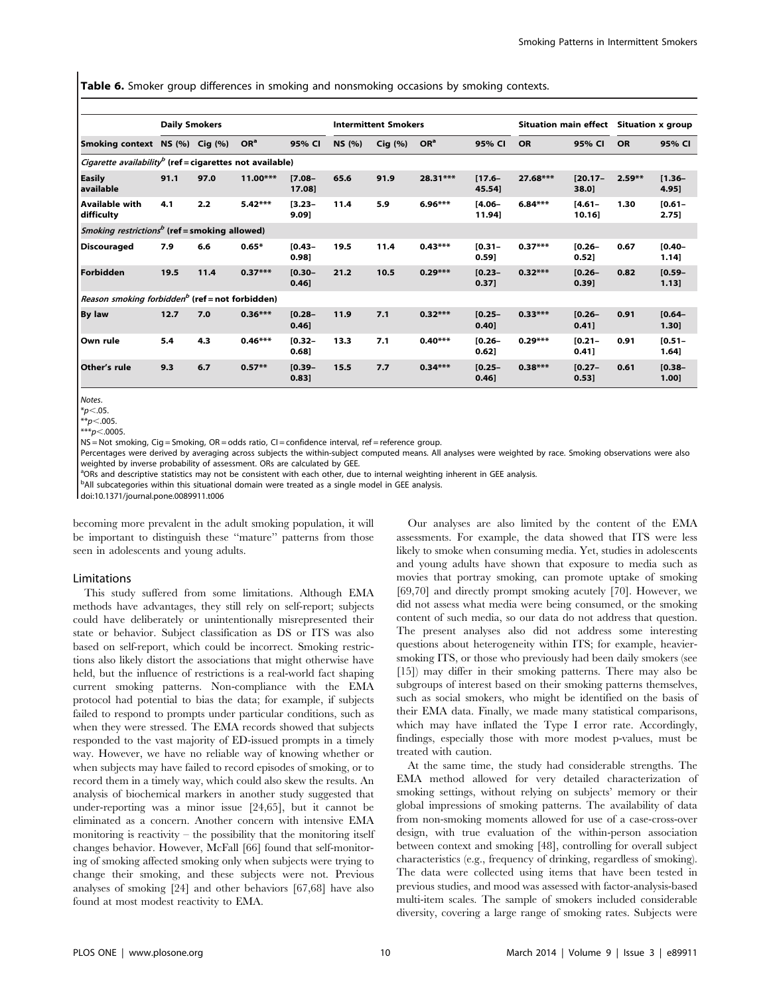Table 6. Smoker group differences in smoking and nonsmoking occasions by smoking contexts.

|                                                                                   | <b>Daily Smokers</b> |      |                 |                    |               | <b>Intermittent Smokers</b> |                 |                     | Situation main effect Situation x group |                     |           |                    |
|-----------------------------------------------------------------------------------|----------------------|------|-----------------|--------------------|---------------|-----------------------------|-----------------|---------------------|-----------------------------------------|---------------------|-----------|--------------------|
| Smoking context NS (%) Cig (%)                                                    |                      |      | OR <sup>a</sup> | 95% CI             | <b>NS</b> (%) | Cig(%)                      | OR <sup>a</sup> | 95% CI              | <b>OR</b>                               | 95% CI              | <b>OR</b> | 95% CI             |
| Cigarette availability <sup><math>b</math></sup> (ref = cigarettes not available) |                      |      |                 |                    |               |                             |                 |                     |                                         |                     |           |                    |
| <b>Easily</b><br>available                                                        | 91.1                 | 97.0 | $11.00***$      | $7.08 -$<br>17.08] | 65.6          | 91.9                        | 28.31 ***       | $17.6 -$<br>45.541  | 27.68***                                | $[20.17 -$<br>38.0  | $2.59**$  | $[1.36 -$<br>4.95] |
| <b>Available with</b><br>difficulty                                               | 4.1                  | 2.2  | $5.42***$       | $[3.23 -$<br>9.09] | 11.4          | 5.9                         | $6.96***$       | $[4.06 -$<br>11.94] | $6.84***$                               | $[4.61 -$<br>10.161 | 1.30      | $[0.61 -$<br>2.75] |
| <i>Smoking restrictions</i> <sup>b</sup> (ref = smoking allowed)                  |                      |      |                 |                    |               |                             |                 |                     |                                         |                     |           |                    |
| <b>Discouraged</b>                                                                | 7.9                  | 6.6  | $0.65*$         | $[0.43 -$<br>0.98] | 19.5          | 11.4                        | $0.43***$       | [0.31]<br>0.59]     | $0.37***$                               | $[0.26 -$<br>0.52]  | 0.67      | $[0.40 -$<br>1.14] |
| <b>Forbidden</b>                                                                  | 19.5                 | 11.4 | $0.37***$       | $[0.30 -$<br>0.461 | 21.2          | 10.5                        | $0.29***$       | $[0.23 -$<br>0.37]  | $0.32***$                               | $[0.26 -$<br>0.39]  | 0.82      | $[0.59 -$<br>1.13] |
| Reason smoking forbidden <sup>b</sup> (ref = not forbidden)                       |                      |      |                 |                    |               |                             |                 |                     |                                         |                     |           |                    |
| <b>By law</b>                                                                     | 12.7                 | 7.0  | $0.36***$       | $[0.28 -$<br>0.46] | 11.9          | 7.1                         | $0.32***$       | $[0.25 -$<br>0.40]  | $0.33***$                               | $[0.26 -$<br>0.41]  | 0.91      | $[0.64 -$<br>1.30] |
| Own rule                                                                          | 5.4                  | 4.3  | $0.46***$       | $[0.32 -$<br>0.68] | 13.3          | 7.1                         | $0.40***$       | $[0.26 -$<br>0.62]  | $0.29***$                               | $[0.21 -$<br>0.41]  | 0.91      | $[0.51 -$<br>1.64] |
| Other's rule                                                                      | 9.3                  | 6.7  | $0.57**$        | $[0.39 -$<br>0.83] | 15.5          | 7.7                         | $0.34***$       | $[0.25 -$<br>0.461  | $0.38***$                               | $[0.27 -$<br>0.53]  | 0.61      | $[0.38 -$<br>1.00] |

Notes.

 $*_{p<.05}$ 

 $*p<.005$ .

 $***p<.0005$ .

NS = Not smoking, Cig = Smoking, OR = odds ratio, CI = confidence interval, ref = reference group.

Percentages were derived by averaging across subjects the within-subject computed means. All analyses were weighted by race. Smoking observations were also weighted by inverse probability of assessment. ORs are calculated by GEE.

<sup>a</sup>ORs and descriptive statistics may not be consistent with each other, due to internal weighting inherent in GEE analysis.

<sup>b</sup>All subcategories within this situational domain were treated as a single model in GEE analysis.

doi:10.1371/journal.pone.0089911.t006

becoming more prevalent in the adult smoking population, it will be important to distinguish these ''mature'' patterns from those seen in adolescents and young adults.

#### Limitations

This study suffered from some limitations. Although EMA methods have advantages, they still rely on self-report; subjects could have deliberately or unintentionally misrepresented their state or behavior. Subject classification as DS or ITS was also based on self-report, which could be incorrect. Smoking restrictions also likely distort the associations that might otherwise have held, but the influence of restrictions is a real-world fact shaping current smoking patterns. Non-compliance with the EMA protocol had potential to bias the data; for example, if subjects failed to respond to prompts under particular conditions, such as when they were stressed. The EMA records showed that subjects responded to the vast majority of ED-issued prompts in a timely way. However, we have no reliable way of knowing whether or when subjects may have failed to record episodes of smoking, or to record them in a timely way, which could also skew the results. An analysis of biochemical markers in another study suggested that under-reporting was a minor issue [24,65], but it cannot be eliminated as a concern. Another concern with intensive EMA monitoring is reactivity – the possibility that the monitoring itself changes behavior. However, McFall [66] found that self-monitoring of smoking affected smoking only when subjects were trying to change their smoking, and these subjects were not. Previous analyses of smoking [24] and other behaviors [67,68] have also found at most modest reactivity to EMA.

Our analyses are also limited by the content of the EMA assessments. For example, the data showed that ITS were less likely to smoke when consuming media. Yet, studies in adolescents and young adults have shown that exposure to media such as movies that portray smoking, can promote uptake of smoking [69,70] and directly prompt smoking acutely [70]. However, we did not assess what media were being consumed, or the smoking content of such media, so our data do not address that question. The present analyses also did not address some interesting questions about heterogeneity within ITS; for example, heaviersmoking ITS, or those who previously had been daily smokers (see [15]) may differ in their smoking patterns. There may also be subgroups of interest based on their smoking patterns themselves, such as social smokers, who might be identified on the basis of their EMA data. Finally, we made many statistical comparisons, which may have inflated the Type I error rate. Accordingly, findings, especially those with more modest p-values, must be treated with caution.

At the same time, the study had considerable strengths. The EMA method allowed for very detailed characterization of smoking settings, without relying on subjects' memory or their global impressions of smoking patterns. The availability of data from non-smoking moments allowed for use of a case-cross-over design, with true evaluation of the within-person association between context and smoking [48], controlling for overall subject characteristics (e.g., frequency of drinking, regardless of smoking). The data were collected using items that have been tested in previous studies, and mood was assessed with factor-analysis-based multi-item scales. The sample of smokers included considerable diversity, covering a large range of smoking rates. Subjects were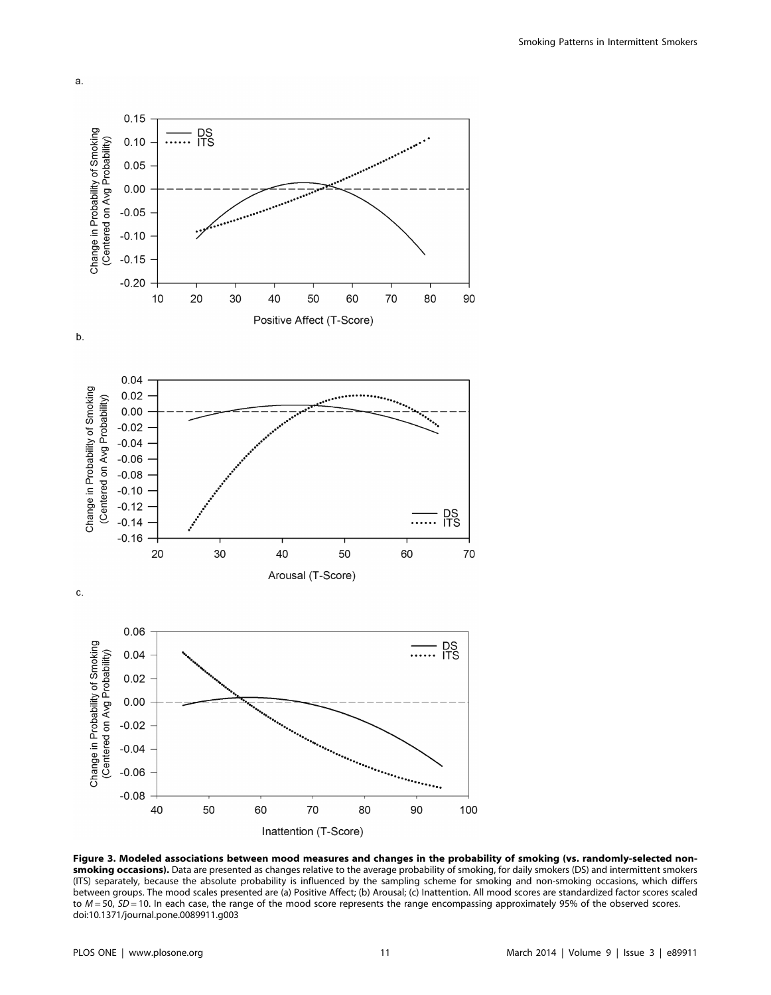

Figure 3. Modeled associations between mood measures and changes in the probability of smoking (vs. randomly-selected nonsmoking occasions). Data are presented as changes relative to the average probability of smoking, for daily smokers (DS) and intermittent smokers (ITS) separately, because the absolute probability is influenced by the sampling scheme for smoking and non-smoking occasions, which differs between groups. The mood scales presented are (a) Positive Affect; (b) Arousal; (c) Inattention. All mood scores are standardized factor scores scaled to  $M = 50$ ,  $SD = 10$ . In each case, the range of the mood score represents the range encompassing approximately 95% of the observed scores. doi:10.1371/journal.pone.0089911.g003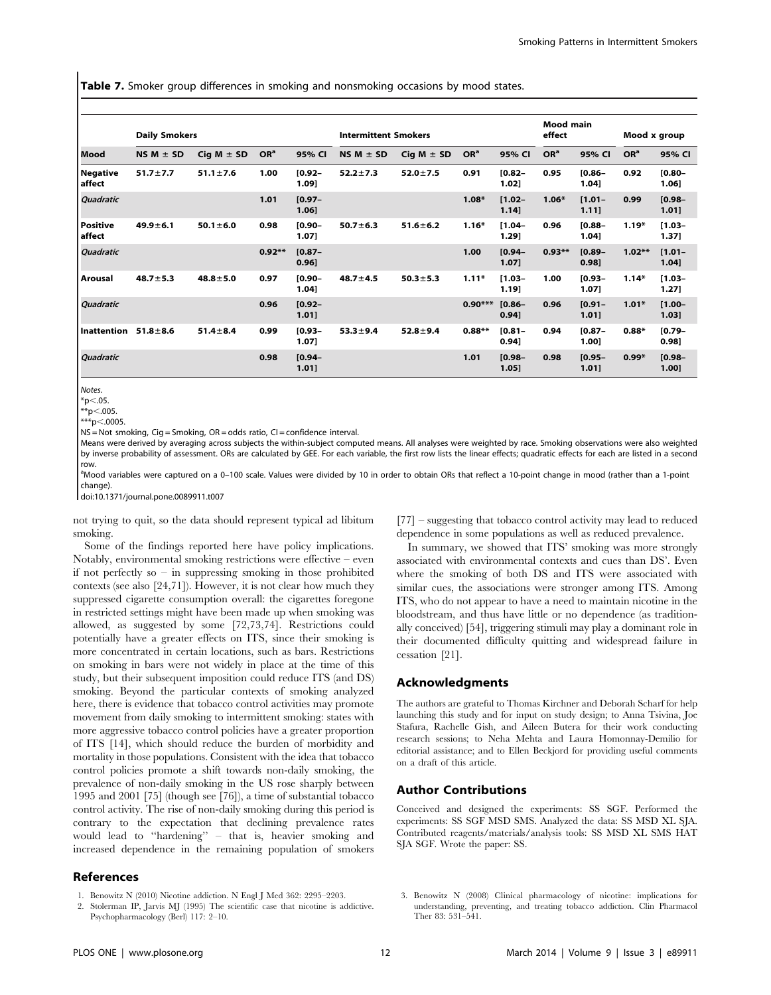**Table 7.** Smoker group differences in smoking and nonsmoking occasions by mood states.

|                                                                                                                                 | <b>Daily Smokers</b> |                |                 |                    | <b>Intermittent Smokers</b> | <b>Mood main</b><br>effect |                 | Mood x group       |                 |                    |                 |                    |
|---------------------------------------------------------------------------------------------------------------------------------|----------------------|----------------|-----------------|--------------------|-----------------------------|----------------------------|-----------------|--------------------|-----------------|--------------------|-----------------|--------------------|
| Mood<br><b>Negative</b><br>affect<br>Quadratic<br><b>Positive</b><br>affect<br>Quadratic<br>Arousal<br>Quadratic<br>Inattention | NS $M \pm SD$        | Cig $M \pm SD$ | OR <sup>a</sup> | 95% CI             | NS $M \pm SD$               | Ciq M $\pm$ SD             | OR <sup>a</sup> | 95% CI             | OR <sup>a</sup> | 95% CI             | OR <sup>a</sup> | 95% CI             |
|                                                                                                                                 | $51.7 \pm 7.7$       | $51.1 \pm 7.6$ | 1.00            | $[0.92 -$<br>1.09] | $52.2 \pm 7.3$              | $52.0 \pm 7.5$             | 0.91            | $[0.82 -$<br>1.02] | 0.95            | $[0.86 -$<br>1.04] | 0.92            | $[0.80 -$<br>1.06] |
|                                                                                                                                 |                      |                | 1.01            | $[0.97 -$<br>1.06] |                             |                            | $1.08*$         | $11.02 -$<br>1.14] | $1.06*$         | $11.01 -$<br>1.11] | 0.99            | $[0.98 -$<br>1.01] |
|                                                                                                                                 | $49.9 \pm 6.1$       | $50.1 \pm 6.0$ | 0.98            | $[0.90 -$<br>1.07] | $50.7 \pm 6.3$              | $51.6 \pm 6.2$             | $1.16*$         | $[1.04 -$<br>1.29] | 0.96            | $[0.88 -$<br>1.04] | $1.19*$         | $[1.03 -$<br>1.37] |
|                                                                                                                                 |                      |                | $0.92**$        | $[0.87 -$<br>0.96] |                             |                            | 1.00            | $[0.94 -$<br>1.07] | $0.93**$        | $[0.89 -$<br>0.98] | $1.02***$       | $[1.01 -$<br>1.04] |
|                                                                                                                                 | $48.7 \pm 5.3$       | $48.8 \pm 5.0$ | 0.97            | $[0.90 -$<br>1.04] | $48.7 \pm 4.5$              | $50.3 \pm 5.3$             | $1.11*$         | $[1.03 -$<br>1.19] | 1.00            | $[0.93 -$<br>1.07] | $1.14*$         | $[1.03 -$<br>1.27] |
|                                                                                                                                 |                      |                | 0.96            | $[0.92 -$<br>1.01] |                             |                            | $0.90***$       | $10.86 -$<br>0.94] | 0.96            | $[0.91 -$<br>1.01] | $1.01*$         | $[1.00 -$<br>1.03] |
|                                                                                                                                 | $51.8 \pm 8.6$       | $51.4 \pm 8.4$ | 0.99            | $[0.93 -$<br>1.07] | $53.3 \pm 9.4$              | $52.8 \pm 9.4$             | $0.88**$        | $[0.81 -$<br>0.94] | 0.94            | $[0.87 -$<br>1.00] | $0.88*$         | $[0.79 -$<br>0.98] |
| Quadratic                                                                                                                       |                      |                | 0.98            | $[0.94 -$<br>1.01] |                             |                            | 1.01            | $[0.98 -$<br>1.05] | 0.98            | $10.95 -$<br>1.01] | $0.99*$         | $[0.98 -$<br>1.00] |

Notes.

 $*p<.05$ .

 $*p<.005$ 

 $***p<.0005$ .

NS = Not smoking, Cig = Smoking, OR = odds ratio, CI = confidence interval.

Means were derived by averaging across subjects the within-subject computed means. All analyses were weighted by race. Smoking observations were also weighted by inverse probability of assessment. ORs are calculated by GEE. For each variable, the first row lists the linear effects; quadratic effects for each are listed in a second row.

a<br>Mood variables were captured on a 0–100 scale. Values were divided by 10 in order to obtain ORs that reflect a 10-point change in mood (rather than a 1-point change).

doi:10.1371/journal.pone.0089911.t007

not trying to quit, so the data should represent typical ad libitum smoking.

Some of the findings reported here have policy implications. Notably, environmental smoking restrictions were effective – even if not perfectly so – in suppressing smoking in those prohibited contexts (see also [24,71]). However, it is not clear how much they suppressed cigarette consumption overall: the cigarettes foregone in restricted settings might have been made up when smoking was allowed, as suggested by some [72,73,74]. Restrictions could potentially have a greater effects on ITS, since their smoking is more concentrated in certain locations, such as bars. Restrictions on smoking in bars were not widely in place at the time of this study, but their subsequent imposition could reduce ITS (and DS) smoking. Beyond the particular contexts of smoking analyzed here, there is evidence that tobacco control activities may promote movement from daily smoking to intermittent smoking: states with more aggressive tobacco control policies have a greater proportion of ITS [14], which should reduce the burden of morbidity and mortality in those populations. Consistent with the idea that tobacco control policies promote a shift towards non-daily smoking, the prevalence of non-daily smoking in the US rose sharply between 1995 and 2001 [75] (though see [76]), a time of substantial tobacco control activity. The rise of non-daily smoking during this period is contrary to the expectation that declining prevalence rates would lead to ''hardening'' – that is, heavier smoking and increased dependence in the remaining population of smokers

## References

[77] – suggesting that tobacco control activity may lead to reduced dependence in some populations as well as reduced prevalence.

In summary, we showed that ITS' smoking was more strongly associated with environmental contexts and cues than DS'. Even where the smoking of both DS and ITS were associated with similar cues, the associations were stronger among ITS. Among ITS, who do not appear to have a need to maintain nicotine in the bloodstream, and thus have little or no dependence (as traditionally conceived) [54], triggering stimuli may play a dominant role in their documented difficulty quitting and widespread failure in cessation [21].

#### Acknowledgments

The authors are grateful to Thomas Kirchner and Deborah Scharf for help launching this study and for input on study design; to Anna Tsivina, Joe Stafura, Rachelle Gish, and Aileen Butera for their work conducting research sessions; to Neha Mehta and Laura Homonnay-Demilio for editorial assistance; and to Ellen Beckjord for providing useful comments on a draft of this article.

## Author Contributions

Conceived and designed the experiments: SS SGF. Performed the experiments: SS SGF MSD SMS. Analyzed the data: SS MSD XL SJA. Contributed reagents/materials/analysis tools: SS MSD XL SMS HAT SJA SGF. Wrote the paper: SS.

3. Benowitz N (2008) Clinical pharmacology of nicotine: implications for understanding, preventing, and treating tobacco addiction. Clin Pharmacol Ther 83: 531–541.

<sup>1.</sup> Benowitz N (2010) Nicotine addiction. N Engl J Med 362: 2295–2203.

<sup>2.</sup> Stolerman IP, Jarvis MJ (1995) The scientific case that nicotine is addictive. Psychopharmacology (Berl) 117: 2–10.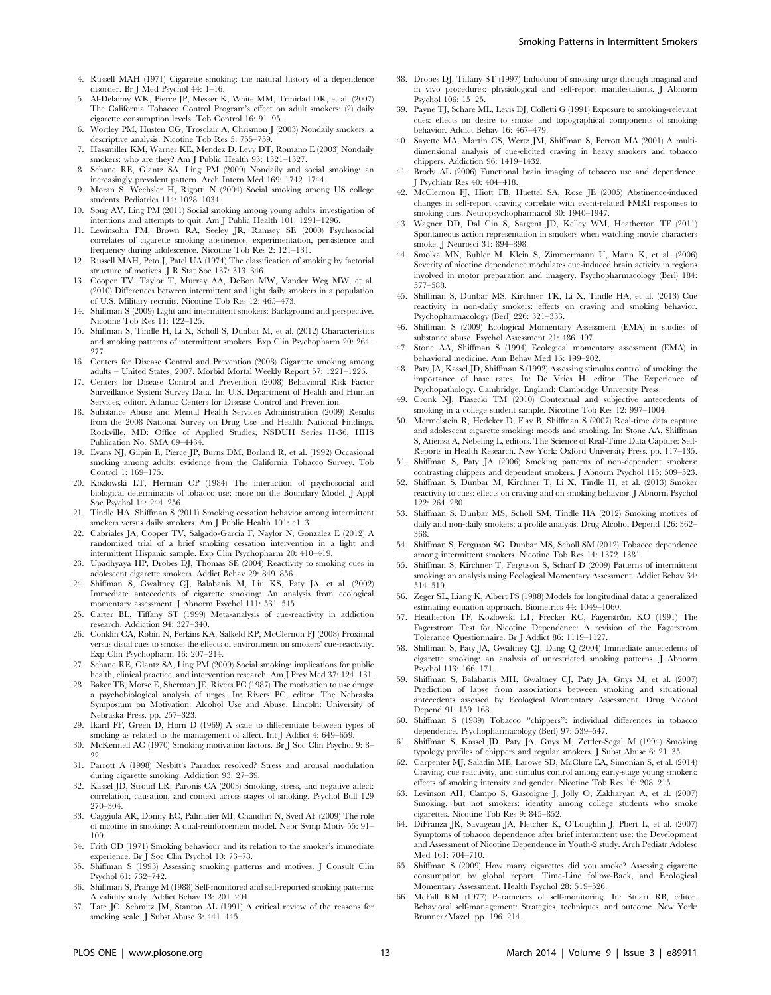- 5. Al-Delaimy WK, Pierce JP, Messer K, White MM, Trinidad DR, et al. (2007) The California Tobacco Control Program's effect on adult smokers: (2) daily cigarette consumption levels. Tob Control 16: 91–95.
- 6. Wortley PM, Husten CG, Trosclair A, Chrismon J (2003) Nondaily smokers: a descriptive analysis. Nicotine Tob Res 5: 755–759.
- 7. Hassmiller KM, Warner KE, Mendez D, Levy DT, Romano E (2003) Nondaily smokers: who are they? Am J Public Health 93: 1321–1327.
- 8. Schane RE, Glantz SA, Ling PM (2009) Nondaily and social smoking: an increasingly prevalent pattern. Arch Intern Med 169: 1742–1744.
- 9. Moran S, Wechsler H, Rigotti N (2004) Social smoking among US college students. Pediatrics 114: 1028–1034.
- 10. Song AV, Ling PM (2011) Social smoking among young adults: investigation of intentions and attempts to quit. Am J Public Health 101: 1291–1296.
- 11. Lewinsohn PM, Brown RA, Seeley JR, Ramsey SE (2000) Psychosocial correlates of cigarette smoking abstinence, experimentation, persistence and frequency during adolescence. Nicotine Tob Res 2: 121–131.
- 12. Russell MAH, Peto J, Patel UA (1974) The classification of smoking by factorial structure of motives. J R Stat Soc 137: 313–346.
- 13. Cooper TV, Taylor T, Murray AA, DeBon MW, Vander Weg MW, et al. (2010) Differences between intermittent and light daily smokers in a population of U.S. Military recruits. Nicotine Tob Res 12: 465–473.
- 14. Shiffman S (2009) Light and intermittent smokers: Background and perspective. Nicotine Tob Res 11: 122–125.
- 15. Shiffman S, Tindle H, Li X, Scholl S, Dunbar M, et al. (2012) Characteristics and smoking patterns of intermittent smokers. Exp Clin Psychopharm 20: 264– 277.
- 16. Centers for Disease Control and Prevention (2008) Cigarette smoking among adults – United States, 2007. Morbid Mortal Weekly Report 57: 1221–1226.
- 17. Centers for Disease Control and Prevention (2008) Behavioral Risk Factor Surveillance System Survey Data. In: U.S. Department of Health and Human Services, editor. Atlanta: Centers for Disease Control and Prevention.
- 18. Substance Abuse and Mental Health Services Administration (2009) Results from the 2008 National Survey on Drug Use and Health: National Findings. Rockville, MD: Office of Applied Studies, NSDUH Series H-36, HHS Publication No. SMA 09–4434.
- 19. Evans NJ, Gilpin E, Pierce JP, Burns DM, Borland R, et al. (1992) Occasional smoking among adults: evidence from the California Tobacco Survey. Tob Control 1: 169–175.
- 20. Kozlowski LT, Herman CP (1984) The interaction of psychosocial and biological determinants of tobacco use: more on the Boundary Model. J Appl Soc Psychol 14: 244–256.
- 21. Tindle HA, Shiffman S (2011) Smoking cessation behavior among intermittent smokers versus daily smokers. Am J Public Health 101: e1–3.
- 22. Cabriales JA, Cooper TV, Salgado-Garcia F, Naylor N, Gonzalez E (2012) A randomized trial of a brief smoking cessation intervention in a light and intermittent Hispanic sample. Exp Clin Psychopharm 20: 410–419.
- 23. Upadhyaya HP, Drobes DJ, Thomas SE (2004) Reactivity to smoking cues in adolescent cigarette smokers. Addict Behav 29: 849–856.
- 24. Shiffman S, Gwaltney CJ, Balabanis M, Liu KS, Paty JA, et al. (2002) Immediate antecedents of cigarette smoking: An analysis from ecological momentary assessment. J Abnorm Psychol 111: 531–545.
- 25. Carter BL, Tiffany ST (1999) Meta-analysis of cue-reactivity in addiction research. Addiction 94: 327–340.
- 26. Conklin CA, Robin N, Perkins KA, Salkeld RP, McClernon FJ (2008) Proximal versus distal cues to smoke: the effects of environment on smokers' cue-reactivity. Exp Clin Psychopharm 16: 207–214.
- 27. Schane RE, Glantz SA, Ling PM (2009) Social smoking: implications for public health, clinical practice, and intervention research. Am J Prev Med 37: 124–131.
- 28. Baker TB, Morse E, Sherman JE, Rivers PC (1987) The motivation to use drugs: a psychobiological analysis of urges. In: Rivers PC, editor. The Nebraska Symposium on Motivation: Alcohol Use and Abuse. Lincoln: University of Nebraska Press. pp. 257–323.
- 29. Ikard FF, Green D, Horn D (1969) A scale to differentiate between types of smoking as related to the management of affect. Int J Addict 4: 649–659.
- 30. McKennell AC (1970) Smoking motivation factors. Br J Soc Clin Psychol 9: 8– 22.
- 31. Parrott A (1998) Nesbitt's Paradox resolved? Stress and arousal modulation during cigarette smoking. Addiction 93: 27–39.
- 32. Kassel JD, Stroud LR, Paronis CA (2003) Smoking, stress, and negative affect: correlation, causation, and context across stages of smoking. Psychol Bull 129 270–304.
- 33. Caggiula AR, Donny EC, Palmatier MI, Chaudhri N, Sved AF (2009) The role of nicotine in smoking: A dual-reinforcement model. Nebr Symp Motiv 55: 91– 109.
- 34. Frith CD (1971) Smoking behaviour and its relation to the smoker's immediate experience. Br J Soc Clin Psychol 10: 73–78.
- 35. Shiffman S (1993) Assessing smoking patterns and motives. J Consult Clin Psychol 61: 732–742.
- 36. Shiffman S, Prange M (1988) Self-monitored and self-reported smoking patterns: A validity study. Addict Behav 13: 201–204.
- 37. Tate JC, Schmitz JM, Stanton AL (1991) A critical review of the reasons for smoking scale. J Subst Abuse 3: 441–445.
- 38. Drobes DJ, Tiffany ST (1997) Induction of smoking urge through imaginal and in vivo procedures: physiological and self-report manifestations. J Abnorm Psychol 106: 15–25.
- 39. Payne TJ, Schare ML, Levis DJ, Colletti G (1991) Exposure to smoking-relevant cues: effects on desire to smoke and topographical components of smoking behavior. Addict Behav 16: 467–479.
- 40. Sayette MA, Martin CS, Wertz JM, Shiffman S, Perrott MA (2001) A multidimensional analysis of cue-elicited craving in heavy smokers and tobacco chippers. Addiction 96: 1419–1432.
- 41. Brody AL (2006) Functional brain imaging of tobacco use and dependence. J Psychiatr Res 40: 404–418.
- 42. McClernon FJ, Hiott FB, Huettel SA, Rose JE (2005) Abstinence-induced changes in self-report craving correlate with event-related FMRI responses to smoking cues. Neuropsychopharmacol 30: 1940–1947.
- 43. Wagner DD, Dal Cin S, Sargent JD, Kelley WM, Heatherton TF (2011) Spontaneous action representation in smokers when watching movie characters smoke. J Neurosci 31: 894–898.
- 44. Smolka MN, Buhler M, Klein S, Zimmermann U, Mann K, et al. (2006) Severity of nicotine dependence modulates cue-induced brain activity in regions involved in motor preparation and imagery. Psychopharmacology (Berl) 184: 577–588.
- 45. Shiffman S, Dunbar MS, Kirchner TR, Li X, Tindle HA, et al. (2013) Cue reactivity in non-daily smokers: effects on craving and smoking behavior. Psychopharmacology (Berl) 226: 321–333.
- 46. Shiffman S (2009) Ecological Momentary Assessment (EMA) in studies of substance abuse. Psychol Assessment 21: 486–497.
- 47. Stone AA, Shiffman S (1994) Ecological momentary assessment (EMA) in behavioral medicine. Ann Behav Med 16: 199–202.
- 48. Paty JA, Kassel JD, Shiffman S (1992) Assessing stimulus control of smoking: the importance of base rates. In: De Vries H, editor. The Experience of Psychopathology. Cambridge, England: Cambridge University Press.
- 49. Cronk NJ, Piasecki TM (2010) Contextual and subjective antecedents of smoking in a college student sample. Nicotine Tob Res 12: 997–1004.
- 50. Mermelstein R, Hedeker D, Flay B, Shiffman S (2007) Real-time data capture and adolescent cigarette smoking: moods and smoking. In: Stone AA, Shiffman S, Atienza A, Nebeling L, editors. The Science of Real-Time Data Capture: Self-Reports in Health Research. New York: Oxford University Press. pp. 117–135.
- 51. Shiffman S, Paty JA (2006) Smoking patterns of non-dependent smokers: contrasting chippers and dependent smokers. J Abnorm Psychol 115: 509–523.
- 52. Shiffman S, Dunbar M, Kirchner T, Li X, Tindle H, et al. (2013) Smoker reactivity to cues: effects on craving and on smoking behavior. J Abnorm Psychol 122: 264–280.
- 53. Shiffman S, Dunbar MS, Scholl SM, Tindle HA (2012) Smoking motives of daily and non-daily smokers: a profile analysis. Drug Alcohol Depend 126: 362– 368.
- 54. Shiffman S, Ferguson SG, Dunbar MS, Scholl SM (2012) Tobacco dependence among intermittent smokers. Nicotine Tob Res 14: 1372–1381.
- 55. Shiffman S, Kirchner T, Ferguson S, Scharf D (2009) Patterns of intermittent smoking: an analysis using Ecological Momentary Assessment. Addict Behav 34: 514–519.
- 56. Zeger SL, Liang K, Albert PS (1988) Models for longitudinal data: a generalized estimating equation approach. Biometrics 44: 1049–1060.
- 57. Heatherton TF, Kozlowski LT, Frecker RC, Fagerström KO (1991) The Fagerstrom Test for Nicotine Dependence: A revision of the Fagerström Tolerance Questionnaire. Br J Addict 86: 1119–1127.
- 58. Shiffman S, Paty JA, Gwaltney CJ, Dang Q (2004) Immediate antecedents of cigarette smoking: an analysis of unrestricted smoking patterns. J Abnorm Psychol 113: 166–171.
- 59. Shiffman S, Balabanis MH, Gwaltney CJ, Paty JA, Gnys M, et al. (2007) Prediction of lapse from associations between smoking and situational antecedents assessed by Ecological Momentary Assessment. Drug Alcohol Depend 91: 159–168.
- 60. Shiffman S (1989) Tobacco ''chippers'': individual differences in tobacco dependence. Psychopharmacology (Berl) 97: 539–547.
- 61. Shiffman S, Kassel JD, Paty JA, Gnys M, Zettler-Segal M (1994) Smoking typology profiles of chippers and regular smokers. J Subst Abuse 6: 21–35.
- 62. Carpenter MJ, Saladin ME, Larowe SD, McClure EA, Simonian S, et al. (2014) Craving, cue reactivity, and stimulus control among early-stage young smokers: effects of smoking intensity and gender. Nicotine Tob Res 16: 208–215.
- 63. Levinson AH, Campo S, Gascoigne J, Jolly O, Zakharyan A, et al. (2007) Smoking, but not smokers: identity among college students who smoke cigarettes. Nicotine Tob Res 9: 845–852.
- 64. DiFranza JR, Savageau JA, Fletcher K, O'Loughlin J, Pbert L, et al. (2007) Symptoms of tobacco dependence after brief intermittent use: the Development and Assessment of Nicotine Dependence in Youth-2 study. Arch Pediatr Adolesc Med 161: 704–710.
- 65. Shiffman S (2009) How many cigarettes did you smoke? Assessing cigarette consumption by global report, Time-Line follow-Back, and Ecological Momentary Assessment. Health Psychol 28: 519–526.
- 66. McFall RM (1977) Parameters of self-monitoring. In: Stuart RB, editor. Behavioral self-management: Strategies, techniques, and outcome. New York: Brunner/Mazel. pp. 196–214.